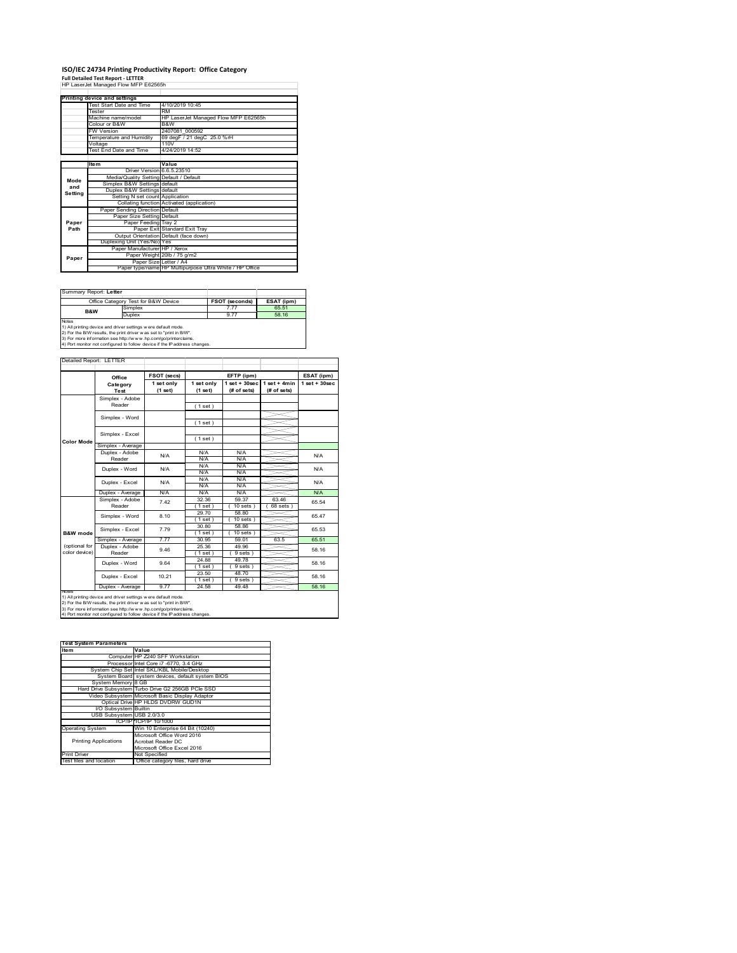## **ISO/IEC 24734 Printing Productivity Report: Office Category**

**Full Detailed Test Report ‐ LETTER** HP LaserJet Managed Flow MFP E62565h

|         | Printing device and settings            |                                                         |
|---------|-----------------------------------------|---------------------------------------------------------|
|         | Test Start Date and Time                | 4/10/2019 10:45                                         |
|         | <b>Tester</b>                           | RM                                                      |
|         | Machine name/model                      | HP LaserJet Managed Flow MFP E62565h                    |
|         | Colour or B&W                           | B&W                                                     |
|         | <b>FW Version</b>                       | 2407081 000592                                          |
|         | Temperature and Humidity                | 69 degF / 21 degC 25.0 %rH                              |
|         | Voltage                                 | 110V                                                    |
|         | <b>Test End Date and Time</b>           | 4/24/2019 14:52                                         |
|         |                                         |                                                         |
|         | Item                                    | Value                                                   |
|         | Driver Version 6.6.5.23510              |                                                         |
| Mode    | Media/Quality Setting Default / Default |                                                         |
| and     | Simplex B&W Settings default            |                                                         |
| Settina | Duplex B&W Settings default             |                                                         |
|         | Setting N set count Application         |                                                         |
|         |                                         | Collating function Activated (application)              |
|         | Paper Sending Direction Default         |                                                         |
|         | Paper Size Setting Default              |                                                         |
| Paper   | Paper Feeding Tray 2                    |                                                         |
| Path    |                                         | Paper Exit Standard Exit Tray                           |
|         |                                         | Output Orientation Default (face down)                  |
|         | Duplexing Unit (Yes/No) Yes             |                                                         |
|         | Paper Manufacturer HP / Xerox           |                                                         |
| Paper   |                                         | Paper Weight 20lb / 75 g/m2                             |
|         | Paper Size Letter / A4                  |                                                         |
|         |                                         | Paper type/name HP Multipurpose Ultra White / HP Office |

| Summary Report: Letter |                                     |                                                                                                                                                                                                                                                                                       |            |  |  |  |
|------------------------|-------------------------------------|---------------------------------------------------------------------------------------------------------------------------------------------------------------------------------------------------------------------------------------------------------------------------------------|------------|--|--|--|
|                        | Office Category Test for B&W Device | <b>FSOT (seconds)</b>                                                                                                                                                                                                                                                                 | ESAT (ipm) |  |  |  |
| <b>B&amp;W</b>         | Simplex                             | 7 7 7                                                                                                                                                                                                                                                                                 | 65.51      |  |  |  |
|                        | Duplex                              | 9.77                                                                                                                                                                                                                                                                                  | 58 16      |  |  |  |
| <b>Notes</b>           |                                     | 1) All printing device and driver settings were default mode.<br>2) For the B/W results, the print driver was set to "print in B/W".<br>3) For more information see http://www.hp.com/go/printerclaims.<br>4) Port monitor not configured to follow device if the IP address changes. |            |  |  |  |

ailed Report: LETTER **FSOT (secs) ESAT (ipm) EFTP (ipm) Office 1 set + 30sec 1 set only (1 set) 1 set only (1 set) 1 set + 30sec (# of sets) 1 set + 4min (# of sets) Category Test** Simplex - Adobe Reader ( 1 set ) Simplex - Word ( 1 set ) Simplex - Excel ( 1 set ) **Color Mode** Simplex - Average Duplex - Adobe N/A  $N/f$ N/A Reader N/A N/A N/A N/A N/A Duplex - Word N/A N/A N/A N/A N/A Duplex - Excel N/A N/A N/A N/.<br>N/A N/. Puplex - Average N/A N/A N/A N/A N/A N/A N/A N/A<br>
Simplex - Adobe 7.42 32.36 59.37 63.46 65.5<br>
Reader 7.42 13.6t) (10 sets) (68 sets) 65.5 7.42 65.54 32.36 59.37 63.46  $(10 \text{ sets}) (68 \text{ sets})$ Simplex - Word 8.10 29.70 58.80 65.47 ( 1 set ) ( 10 sets ) 30.80 58.86 Simplex - Excel 7.79 65.53 **B&W** mod (1 set ) (10 sets<br>30.95 59.01 Simplex - Average 7.77 30.95 59.01 63.5 65.51<br>
Duplex - Adobe 9.46 25.36 49.96 58.16<br>
Reader 9.46 1 set 9 sets 58.16 (optional for color device) 9.46 25.36 49.96 58.16 25.36 49.96 ( 1 set ) ( 9 sets )<br>24.88 49.78 49.78 Duplex - Word 9.64 58.16  $(1 \text{ set})$ <br> $(23.50)$ <br> $(1 \text{ set})$ <br> $24.58$  $(9 \text{ sets})$ <br> $48.70$ ∖⊯ Duplex - Excel 10.21 58.16  $(9$  set<br> $49.48$ Duplex - Average 9.77 24.58 49.48 58.16 notes<br>1) All printing device and driver settings were default mode.<br>2) For the B/W results, the print driver was set to "print in B/W".<br>3) For more information see http://www.hp.com/go/printerclaims.<br>4) Por moralitor not c

| <b>Test System Parameters</b> |                                                    |  |  |  |
|-------------------------------|----------------------------------------------------|--|--|--|
| Item                          | Value                                              |  |  |  |
|                               | Computer HP Z240 SFF Workstation                   |  |  |  |
|                               | Processor Intel Core i7 -6770, 3.4 GHz             |  |  |  |
|                               | System Chip Set Intel SKL/KBL Mobile/Desktop       |  |  |  |
|                               | System Board system devices, default system BIOS   |  |  |  |
| System Memory 8 GB            |                                                    |  |  |  |
|                               | Hard Drive Subsystem Turbo Drive G2 256GB PCIe SSD |  |  |  |
|                               | Video Subsystem Microsoft Basic Display Adaptor    |  |  |  |
|                               | Optical Drive HP HLDS DVDRW GUD1N                  |  |  |  |
| I/O Subsystem Builtin         |                                                    |  |  |  |
| USB Subsystem USB 2.0/3.0     |                                                    |  |  |  |
|                               | TCP/IP TCP/IP 10/1000                              |  |  |  |
| <b>Operating System</b>       | Win 10 Enterprise 64 Bit (10240)                   |  |  |  |
|                               | Microsoft Office Word 2016                         |  |  |  |
| <b>Printing Applications</b>  | Acrobat Reader DC                                  |  |  |  |
|                               | Microsoft Office Excel 2016                        |  |  |  |
| <b>Print Driver</b>           | Not Specified                                      |  |  |  |
| Test files and location       | Office category files, hard drive                  |  |  |  |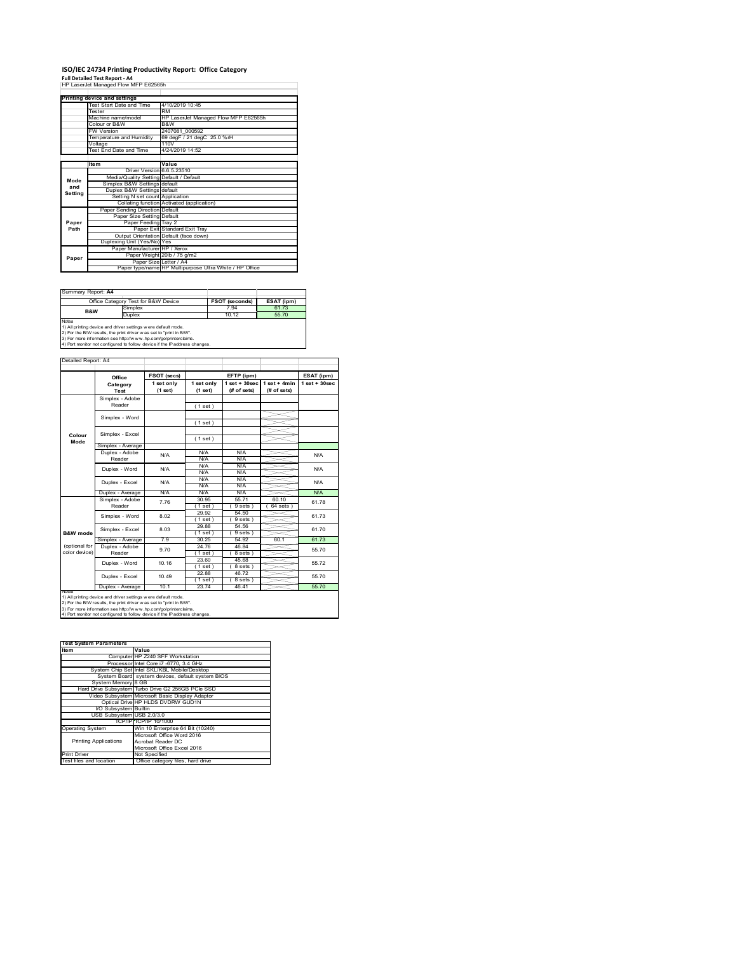## **ISO/IEC 24734 Printing Productivity Report: Office Category**

**Full Detailed Test Report ‐ A4** HP LaserJet Managed Flow MFP E62565h

|         | Printing device and settings            |                                                         |
|---------|-----------------------------------------|---------------------------------------------------------|
|         | Test Start Date and Time                | 4/10/2019 10:45                                         |
|         | <b>Tester</b>                           | RM                                                      |
|         | Machine name/model                      | HP LaserJet Managed Flow MFP E62565h                    |
|         | Colour or B&W                           | B&W                                                     |
|         | <b>FW Version</b>                       | 2407081 000592                                          |
|         | Temperature and Humidity                | 69 degF / 21 degC 25.0 %rH                              |
|         | Voltage                                 | 110V                                                    |
|         | <b>Test End Date and Time</b>           | 4/24/2019 14:52                                         |
|         |                                         |                                                         |
|         | <b>Item</b>                             | Value                                                   |
|         | Driver Version 6.6.5.23510              |                                                         |
| Mode    | Media/Quality Setting Default / Default |                                                         |
| and     | Simplex B&W Settings default            |                                                         |
| Setting | Duplex B&W Settings default             |                                                         |
|         | Setting N set count Application         |                                                         |
|         |                                         | Collating function Activated (application)              |
|         | Paper Sending Direction Default         |                                                         |
|         | Paper Size Setting Default              |                                                         |
| Paper   | Paper Feeding Tray 2                    |                                                         |
| Path    |                                         | Paper Exit Standard Exit Tray                           |
|         |                                         | Output Orientation Default (face down)                  |
|         | Duplexing Unit (Yes/No) Yes             |                                                         |
|         | Paper Manufacturer HP / Xerox           |                                                         |
| Paper   |                                         | Paper Weight 20lb / 75 g/m2                             |
|         |                                         | Paper Size Letter / A4                                  |
|         |                                         | Paper type/name HP Multipurpose Ultra White / HP Office |

| Summary Report: A4 |                                                                                                                                                                                                                                                                                        |                       |            |
|--------------------|----------------------------------------------------------------------------------------------------------------------------------------------------------------------------------------------------------------------------------------------------------------------------------------|-----------------------|------------|
|                    | Office Category Test for B&W Device                                                                                                                                                                                                                                                    | <b>FSOT (seconds)</b> | ESAT (ipm) |
| <b>B&amp;W</b>     | Simplex                                                                                                                                                                                                                                                                                | 7 94                  | 61.73      |
|                    | Duplex                                                                                                                                                                                                                                                                                 | 10.12                 | 55.70      |
| <b>Notes</b>       | 1) All printing device and driver settings w ere default mode.<br>2) For the B/W results, the print driver was set to "print in B/W".<br>3) For more information see http://www.hp.com/go/printerclaims.<br>4) Port monitor not configured to follow device if the IP address changes. |                       |            |

ailed Report: A4 **FSOT (secs) ESAT (ipm) EFTP (ipm) Office 1 set + 30sec 1 set only (1 set) 1 set only (1 set) 1 set + 30sec (# of sets) 1 set + 4min (# of sets) Category Test** Simplex - Adobe Reader ( 1 set ) Simplex - Word ( 1 set ) Simplex - Excel ( 1 set ) **Colour Mode** Simplex - Average Duplex - Adobe  $N/f$  $N/A$   $N/A$   $N/A$   $N/A$   $N/A$ Reader N/A N/A N/A N/A N/A Duplex - Word N/A N/A N/A N/A N/A Duplex - Excel N/A N/A N/A N/.<br>N/A N/. Puplex - Average N/A N/A N/A N/A N/A N/A N/A<br>  $\overline{S}$  Simplex - Adobe 7.76 30.56 55.71 60.10 61.7<br>
Reader 7.76 1.1 99815 64.8815 61.7 7.76 61.78 30.95 55.71 60.10  $(9 \text{ sets}) (64 \text{ sets})$ Simplex - Word 8.02 29.92 54.50 61.73 ( 1 set ) ( 9 sets ) 29.88 54.56 Simplex - Excel 8.03 61.70 **B&W** mod  $\begin{array}{|c|c|c|c|}\n \hline\n 1 set & 9 set\n\hline\n 30.25 & 54.92\n\end{array}$ Simplex - Average 7.9 30.25 54.92 60.1 61.73<br>
Duplex - Adobe 9.70 24.76 46.84 55.70<br>
Reader 9.70 (1 set ) (8 sets) 55.70 (optional for color device) 9.70 55.70 24.76 46.84 ( 1 set ) ( 8 sets ) 23.60 45.68 Duplex - Word 10.16 55.72  $(1 \text{ set})$ <br>22.88<br> $(1 \text{ set})$ <br>23.74  $(8 \text{ sets})$ <br> $46.72$ ₹ Duplex - Excel 10.49 55.70  $\frac{1}{(8 \text{ sets})}$ <br>46.41 Duplex - Average | 10.1 | 23.74 | 46.41 |  $\sim$  55.70 notes<br>1) All printing device and driver settings were default mode.<br>2) For the B/W results, the print driver was set to "print in B/W".<br>3) For more information see http://www.hp.com/go/printerclaims.<br>4) Por moralitor not c

| <b>Test System Parameters</b> |                                                    |  |  |  |
|-------------------------------|----------------------------------------------------|--|--|--|
| Item                          | Value                                              |  |  |  |
|                               | Computer HP Z240 SFF Workstation                   |  |  |  |
|                               | Processor Intel Core i7 -6770, 3.4 GHz             |  |  |  |
|                               | System Chip Set Intel SKL/KBL Mobile/Desktop       |  |  |  |
|                               | System Board system devices, default system BIOS   |  |  |  |
| System Memory 8 GB            |                                                    |  |  |  |
|                               | Hard Drive Subsystem Turbo Drive G2 256GB PCIe SSD |  |  |  |
|                               | Video Subsystem Microsoft Basic Display Adaptor    |  |  |  |
|                               | Optical Drive HP HLDS DVDRW GUD1N                  |  |  |  |
| I/O Subsystem Builtin         |                                                    |  |  |  |
| USB Subsystem USB 2.0/3.0     |                                                    |  |  |  |
|                               | TCP/IP TCP/IP 10/1000                              |  |  |  |
| <b>Operating System</b>       | Win 10 Enterprise 64 Bit (10240)                   |  |  |  |
|                               | Microsoft Office Word 2016                         |  |  |  |
| <b>Printing Applications</b>  | Acrobat Reader DC                                  |  |  |  |
|                               | Microsoft Office Excel 2016                        |  |  |  |
| <b>Print Driver</b>           | Not Specified                                      |  |  |  |
| Test files and location       | Office category files, hard drive                  |  |  |  |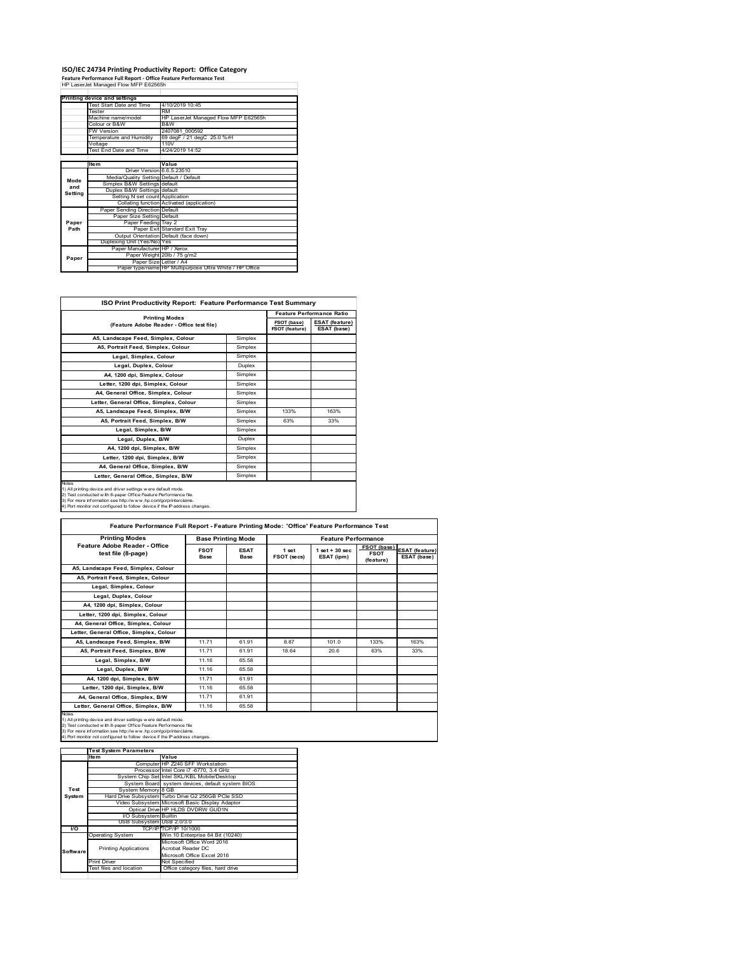# **ISO/IEC 24734 Printing Productivity Report: Office Category Feature Performance Full Report ‐ Office Feature Performance Test** HP LaserJet Managed Flow MFP E62565h

|                          | Printing device and settings            |                                                         |
|--------------------------|-----------------------------------------|---------------------------------------------------------|
|                          | Test Start Date and Time                | 4/10/2019 10:45                                         |
|                          | <b>Tester</b>                           | RM                                                      |
|                          | Machine name/model                      | HP LaserJet Managed Flow MFP E62565h                    |
|                          | Colour or B&W                           | B&W                                                     |
|                          | <b>FW Version</b>                       | 2407081 000592                                          |
| Temperature and Humidity |                                         | 69 degF / 21 degC 25.0 %rH                              |
|                          | Voltage                                 | 110V                                                    |
|                          | Test End Date and Time                  | 4/24/2019 14:52                                         |
|                          |                                         |                                                         |
|                          | <b>Item</b>                             | Value                                                   |
|                          | Driver Version 6.6.5.23510              |                                                         |
| Mode                     | Media/Quality Setting Default / Default |                                                         |
| and                      | Simplex B&W Settings default            |                                                         |
| Setting                  | Duplex B&W Settings default             |                                                         |
|                          | Setting N set count Application         |                                                         |
|                          |                                         | Collating function Activated (application)              |
|                          | Paper Sending Direction Default         |                                                         |
|                          | Paper Size Setting Default              |                                                         |
| Paper                    | Paper Feeding Tray 2                    |                                                         |
| Path                     |                                         | Paper Exit Standard Exit Tray                           |
|                          |                                         | Output Orientation Default (face down)                  |
|                          | Duplexing Unit (Yes/No) Yes             |                                                         |
|                          | Paper Manufacturer HP / Xerox           |                                                         |
| Paper                    |                                         | Paper Weight 20lb / 75 g/m2                             |
|                          | Paper Size Letter / A4                  |                                                         |
|                          |                                         | Paper type/name HP Multipurpose Ultra White / HP Office |

| <b>ISO Print Productivity Report: Feature Performance Test Summary</b>                                                                                                                                                                                                                            |                                  |                               |                                      |
|---------------------------------------------------------------------------------------------------------------------------------------------------------------------------------------------------------------------------------------------------------------------------------------------------|----------------------------------|-------------------------------|--------------------------------------|
|                                                                                                                                                                                                                                                                                                   | <b>Feature Performance Ratio</b> |                               |                                      |
| <b>Printing Modes</b><br>(Feature Adobe Reader - Office test file)                                                                                                                                                                                                                                |                                  | FSOT (base)<br>FSOT (feature) | <b>ESAT (feature)</b><br>ESAT (base) |
| A5, Landscape Feed, Simplex, Colour                                                                                                                                                                                                                                                               | Simplex                          |                               |                                      |
| A5. Portrait Feed. Simplex. Colour                                                                                                                                                                                                                                                                | Simplex                          |                               |                                      |
| Legal, Simplex, Colour                                                                                                                                                                                                                                                                            | Simplex                          |                               |                                      |
| Legal, Duplex, Colour                                                                                                                                                                                                                                                                             | Duplex                           |                               |                                      |
| A4, 1200 dpi, Simplex, Colour                                                                                                                                                                                                                                                                     | Simplex                          |                               |                                      |
| Letter, 1200 dpi, Simplex, Colour                                                                                                                                                                                                                                                                 | Simplex                          |                               |                                      |
| A4. General Office. Simplex. Colour                                                                                                                                                                                                                                                               | Simplex                          |                               |                                      |
| Letter, General Office, Simplex, Colour                                                                                                                                                                                                                                                           | Simplex                          |                               |                                      |
| A5, Landscape Feed, Simplex, B/W                                                                                                                                                                                                                                                                  | Simplex                          | 133%                          | 163%                                 |
| A5, Portrait Feed, Simplex, B/W                                                                                                                                                                                                                                                                   | Simplex                          | 63%                           | 33%                                  |
| Legal, Simplex, B/W                                                                                                                                                                                                                                                                               | Simplex                          |                               |                                      |
| Legal, Duplex, B/W                                                                                                                                                                                                                                                                                | Duplex                           |                               |                                      |
| A4, 1200 dpi, Simplex, B/W                                                                                                                                                                                                                                                                        | Simplex                          |                               |                                      |
| Letter, 1200 dpi. Simplex, B/W                                                                                                                                                                                                                                                                    | Simplex                          |                               |                                      |
| A4, General Office, Simplex, B/W                                                                                                                                                                                                                                                                  | Simplex                          |                               |                                      |
| Letter, General Office, Simplex, B/W                                                                                                                                                                                                                                                              | Simplex                          |                               |                                      |
| <b>Notes</b><br>1) All printing device and driver settings were default mode.<br>2) Test conducted with 8-paper Office Feature Performance file.<br>3) For more information see http://www.hp.com/go/printerclaims.<br>4) Port monitor not configured to follow device if the IP address changes. |                                  |                               |                                      |

| <b>Printing Modes</b>                               | <b>Base Printing Mode</b>  |                     |                      | <b>Feature Performance</b>       |                                         |                                      |
|-----------------------------------------------------|----------------------------|---------------------|----------------------|----------------------------------|-----------------------------------------|--------------------------------------|
| Feature Adobe Reader - Office<br>test file (8-page) | <b>FSOT</b><br><b>Base</b> | <b>ESAT</b><br>Base | 1 set<br>FSOT (secs) | $1$ set $+30$ sec.<br>ESAT (ipm) | FSOT (base)<br><b>FSOT</b><br>(feature) | <b>ESAT</b> (feature)<br>ESAT (base) |
| A5, Landscape Feed, Simplex, Colour                 |                            |                     |                      |                                  |                                         |                                      |
| A5, Portrait Feed, Simplex, Colour                  |                            |                     |                      |                                  |                                         |                                      |
| Legal, Simplex, Colour                              |                            |                     |                      |                                  |                                         |                                      |
| Legal, Duplex, Colour                               |                            |                     |                      |                                  |                                         |                                      |
| A4, 1200 dpi, Simplex, Colour                       |                            |                     |                      |                                  |                                         |                                      |
| Letter, 1200 dpi, Simplex, Colour                   |                            |                     |                      |                                  |                                         |                                      |
| A4, General Office, Simplex, Colour                 |                            |                     |                      |                                  |                                         |                                      |
| Letter, General Office, Simplex, Colour             |                            |                     |                      |                                  |                                         |                                      |
| A5, Landscape Feed, Simplex, B/W                    | 11.71                      | 61.91               | 8.87                 | 101.0                            | 133%                                    | 163%                                 |
| A5. Portrait Feed. Simplex. B/W                     | 11.71                      | 61.91               | 18.64                | 20.6                             | 63%                                     | 33%                                  |
| Legal, Simplex, B/W                                 | 11.16                      | 65.58               |                      |                                  |                                         |                                      |
| Legal, Duplex, B/W                                  | 11.16                      | 65.58               |                      |                                  |                                         |                                      |
| A4, 1200 dpi, Simplex, B/W                          | 11.71                      | 61.91               |                      |                                  |                                         |                                      |
| Letter, 1200 dpi, Simplex, B/W                      | 11.16                      | 65.58               |                      |                                  |                                         |                                      |
| A4, General Office, Simplex, B/W                    | 11.71                      | 61.91               |                      |                                  |                                         |                                      |
| Letter, General Office, Simplex, B/W                | 11.16                      | 65.58               |                      |                                  |                                         |                                      |

1) All printing device and driver settings were default mode.<br>2) Test conducted with 8-paper Office Feature Performance file<br>3) For more information see http://www.hp.com/go/printerclaims.<br>4) Port monitor not configured to

|           | <b>Test System Parameters</b> |                                                    |  |
|-----------|-------------------------------|----------------------------------------------------|--|
|           | Item                          | Value                                              |  |
|           |                               | Computer HP Z240 SFF Workstation                   |  |
|           |                               | Processor Intel Core i7 -6770, 3.4 GHz             |  |
|           |                               | System Chip Set Intel SKL/KBL Mobile/Desktop       |  |
|           |                               | System Board system devices, default system BIOS   |  |
| Test      | System Memory 8 GB            |                                                    |  |
| System    |                               | Hard Drive Subsystem Turbo Drive G2 256GB PCle SSD |  |
|           |                               | Video Subsystem Microsoft Basic Display Adaptor    |  |
|           |                               | Optical Drive HP HLDS DVDRW GUD1N                  |  |
|           | I/O Subsystem Builtin         |                                                    |  |
|           | USB Subsystem USB 2.0/3.0     |                                                    |  |
| <b>VO</b> |                               | TCP/IP/TCP/IP 10/1000                              |  |
|           | <b>Operating System</b>       | Win 10 Enterprise 64 Bit (10240)                   |  |
|           |                               | Microsoft Office Word 2016                         |  |
| Software  | <b>Printing Applications</b>  | Acrobat Reader DC                                  |  |
|           |                               | Microsoft Office Excel 2016                        |  |
|           | <b>Print Driver</b>           | Not Specified                                      |  |
|           | Test files and location       | Office category files, hard drive                  |  |
|           |                               |                                                    |  |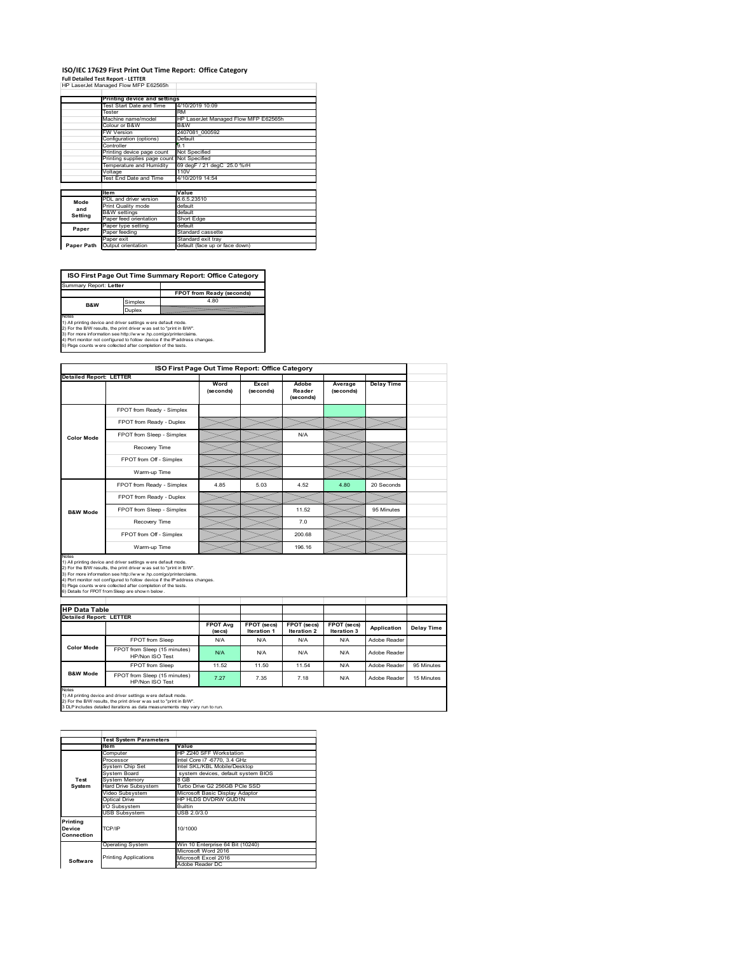# **ISO/IEC 17629 First Print Out Time Report: Office Category**

| <b>Full Detailed Test Report - LETTER</b> |                                      |  |  |
|-------------------------------------------|--------------------------------------|--|--|
|                                           | HP LaserJet Managed Flow MFP E62565h |  |  |

|            | Printing device and settings |                                      |
|------------|------------------------------|--------------------------------------|
|            | Test Start Date and Time     | 4/10/2019 10:09                      |
|            | Tester                       | <b>RM</b>                            |
|            | Machine name/model           | HP LaserJet Managed Flow MFP E62565h |
|            | Colour or B&W                | B&W                                  |
|            | <b>FW Version</b>            | 2407081 000592                       |
|            | Configuration (options)      | Default                              |
|            | Controller                   | 9.1                                  |
|            | Printing device page count   | Not Specified                        |
|            | Printing supplies page count | Not Specified                        |
|            | Temperature and Humidity     | 69 degF / 21 degC 25.0 %rH           |
|            | Voltage                      | 110V                                 |
|            | Test End Date and Time       | 4/10/2019 14:54                      |
|            |                              |                                      |
|            | <b>Item</b>                  | Value                                |
| Mode       | PDL and driver version       | 6.6.5.23510                          |
| and        | Print Quality mode           | default                              |
| Setting    | <b>B&amp;W</b> settings      | default                              |
|            | Paper feed orientation       | Short Edge                           |
| Paper      | Paper type setting           | default                              |
|            | Paper feeding                | Standard cassette                    |
|            | Paper exit                   | Standard exit tray                   |
| Paper Path | Output orientation           | default (face up or face down)       |

**FPOT from Ready (seconds)**<br>
Simplex 4.80 **ISO First Page Out Time Summary Report: Office Category** rt: **Letter B&W**

**Duplex**<br>Notes<br>1) All printing device and driver settings were default mode.<br>2) For the BM results, the print driver was set to "print in BM".<br>4) For more information see http://www.hp.com/golprinterclaims.<br>4) Port monitor

|                                                                 |                                                                                                                                                                                                                                                                                                                                                                                                             |                            | ISO First Page Out Time Report: Office Category |                                   |                            |                   |            |
|-----------------------------------------------------------------|-------------------------------------------------------------------------------------------------------------------------------------------------------------------------------------------------------------------------------------------------------------------------------------------------------------------------------------------------------------------------------------------------------------|----------------------------|-------------------------------------------------|-----------------------------------|----------------------------|-------------------|------------|
| <b>Detailed Report: LETTER</b>                                  |                                                                                                                                                                                                                                                                                                                                                                                                             |                            |                                                 |                                   |                            |                   |            |
|                                                                 |                                                                                                                                                                                                                                                                                                                                                                                                             | Word<br>(seconds)          | Excel<br>(seconds)                              | Adobe<br>Reader<br>(seconds)      | Average<br>(seconds)       | <b>Delay Time</b> |            |
|                                                                 | FPOT from Ready - Simplex                                                                                                                                                                                                                                                                                                                                                                                   |                            |                                                 |                                   |                            |                   |            |
|                                                                 | FPOT from Ready - Duplex                                                                                                                                                                                                                                                                                                                                                                                    |                            |                                                 |                                   |                            |                   |            |
| <b>Color Mode</b>                                               | FPOT from Sleep - Simplex                                                                                                                                                                                                                                                                                                                                                                                   |                            |                                                 | N/A                               |                            |                   |            |
|                                                                 | Recovery Time                                                                                                                                                                                                                                                                                                                                                                                               |                            |                                                 |                                   |                            |                   |            |
|                                                                 | FPOT from Off - Simplex                                                                                                                                                                                                                                                                                                                                                                                     |                            |                                                 |                                   |                            |                   |            |
|                                                                 | Warm-up Time                                                                                                                                                                                                                                                                                                                                                                                                |                            |                                                 |                                   |                            |                   |            |
|                                                                 | FPOT from Ready - Simplex                                                                                                                                                                                                                                                                                                                                                                                   | 4.85                       | 5.03                                            | 4.52                              | 4.80                       | 20 Seconds        |            |
|                                                                 | FPOT from Ready - Duplex                                                                                                                                                                                                                                                                                                                                                                                    |                            |                                                 |                                   |                            |                   |            |
| <b>B&amp;W Mode</b>                                             | FPOT from Sleep - Simplex                                                                                                                                                                                                                                                                                                                                                                                   |                            |                                                 | 11.52                             |                            | 95 Minutes        |            |
|                                                                 | Recovery Time                                                                                                                                                                                                                                                                                                                                                                                               |                            |                                                 | 7.0                               |                            |                   |            |
|                                                                 |                                                                                                                                                                                                                                                                                                                                                                                                             |                            |                                                 |                                   |                            |                   |            |
|                                                                 | FPOT from Off - Simplex                                                                                                                                                                                                                                                                                                                                                                                     |                            |                                                 | 200.68                            |                            |                   |            |
|                                                                 | Warm-up Time                                                                                                                                                                                                                                                                                                                                                                                                |                            |                                                 | 196.16                            |                            |                   |            |
| Notes<br><b>HP Data Table</b><br><b>Detailed Report: LETTER</b> | 1) All printing device and driver settings w ere default mode.<br>2) For the B/W results, the print driver was set to "print in B/W".<br>3) For more information see http://www.hp.com/go/printerclaims.<br>4) Port monitor not configured to follow device if the IP address changes.<br>5) Page counts w ere collected after completion of the tests.<br>6) Details for FPOT from Sleep are show n below. |                            |                                                 |                                   |                            |                   |            |
|                                                                 |                                                                                                                                                                                                                                                                                                                                                                                                             | <b>FPOT Ava</b><br>(se cs) | <b>FPOT</b> (secs)<br><b>Iteration 1</b>        | FPOT (secs)<br><b>Iteration 2</b> | FPOT (secs)<br>Iteration 3 | Application       | Delay Time |
|                                                                 | FPOT from Sleep                                                                                                                                                                                                                                                                                                                                                                                             | N/A                        | N/A                                             | N/A                               | N/A                        | Adobe Reader      |            |
| <b>Color Mode</b>                                               | FPOT from Sleep (15 minutes)<br>HP/Non ISO Test                                                                                                                                                                                                                                                                                                                                                             | N/A                        | N/A                                             | N/A                               | N/A                        | Adobe Reader      |            |
| <b>B&amp;W Mode</b>                                             | FPOT from Sleep                                                                                                                                                                                                                                                                                                                                                                                             | 11.52                      | 11.50                                           | 11.54                             | N/A                        | Adobe Reader      | 95 Minutes |

|                                  | <b>Test System Parameters</b> |                                     |
|----------------------------------|-------------------------------|-------------------------------------|
|                                  | <b>Item</b>                   | Value                               |
|                                  | Computer                      | HP Z240 SFF Workstation             |
|                                  | Processor                     | Intel Core i7 -6770, 3.4 GHz        |
|                                  | System Chip Set               | Intel SKL/KBL Mobile/Desktop        |
|                                  | System Board                  | system devices, default system BIOS |
| Test                             | <b>System Memory</b>          | 8 GB                                |
| System                           | Hard Drive Subsystem          | Turbo Drive G2 256GB PCle SSD       |
|                                  | Video Subsystem               | Microsoft Basic Display Adaptor     |
|                                  | Optical Drive                 | HP HLDS DVDRW GUD1N                 |
|                                  | I/O Subsystem                 | <b>Builtin</b>                      |
|                                  | <b>USB Subsystem</b>          | USB 2.0/3.0                         |
| Printing<br>Device<br>Connection | TCP/IP                        | 10/1000                             |
|                                  | <b>Operating System</b>       | Win 10 Enterprise 64 Bit (10240)    |
|                                  |                               | Microsoft Word 2016                 |
| Software                         | <b>Printing Applications</b>  | Microsoft Excel 2016                |
|                                  |                               | Adobe Reader DC                     |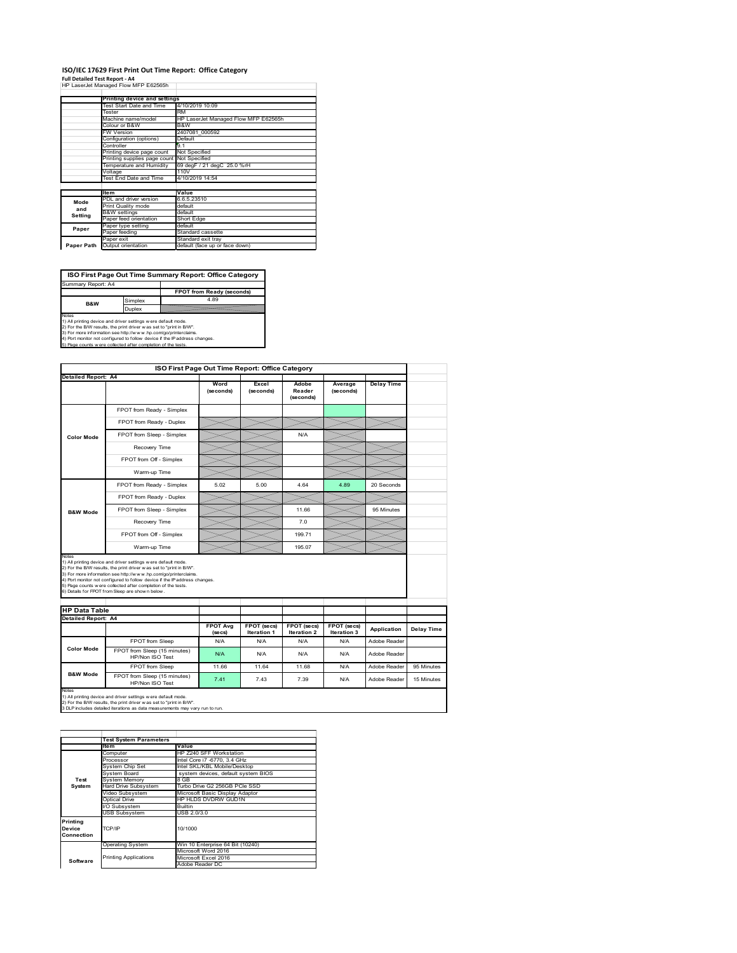# **ISO/IEC 17629 First Print Out Time Report: Office Category**

**Full Detailed Test Report ‐ A4** HP LaserJet Managed Flow MFP E62565h

|            | Printing device and settings |                                      |
|------------|------------------------------|--------------------------------------|
|            | Test Start Date and Time     | 4/10/2019 10:09                      |
|            | Tester                       | RM                                   |
|            | Machine name/model           | HP LaserJet Managed Flow MFP E62565h |
|            | Colour or B&W                | B&W                                  |
|            | <b>FW Version</b>            | 2407081 000592                       |
|            | Configuration (options)      | Default                              |
|            | Controller                   | 9.1                                  |
|            | Printing device page count   | Not Specified                        |
|            | Printing supplies page count | Not Specified                        |
|            | Temperature and Humidity     | 69 degF / 21 degC 25.0 %rH           |
|            | Voltage                      | 110V                                 |
|            | Test End Date and Time       | 4/10/2019 14:54                      |
|            |                              |                                      |
|            | <b>Item</b>                  | Value                                |
| Mode       | PDL and driver version       | 6.6.5.23510                          |
| and        | Print Quality mode           | default                              |
| Setting    | <b>B&amp;W</b> settings      | default                              |
|            | Paper feed orientation       | Short Edge                           |
| Paper      | Paper type setting           | default                              |
|            | Paper feeding                | Standard cassette                    |
|            | Paper exit                   | Standard exit trav                   |
| Paper Path | Output orientation           | default (face up or face down)       |

**ISO First Page Out Time Summary Report: Office Category**

**FPOT from Ready (seconds)** Simplex 4.89 Duplex Notes<br>1) All printing device and driver settings were default mode.<br>2) For the BAV results, the print driver was set to "print in BAV".<br>3) For more information see http://www.hp.com/golprinterclaims.<br>4) Port monitor not co Summary Report: A4 **B&W**

|                            |                                                                                                                                                                                                                                                                                                                                                                                                             | ISO First Page Out Time Report: Office Category |                                   |                                   |                            |                   |            |
|----------------------------|-------------------------------------------------------------------------------------------------------------------------------------------------------------------------------------------------------------------------------------------------------------------------------------------------------------------------------------------------------------------------------------------------------------|-------------------------------------------------|-----------------------------------|-----------------------------------|----------------------------|-------------------|------------|
| <b>Detailed Report: A4</b> |                                                                                                                                                                                                                                                                                                                                                                                                             |                                                 |                                   |                                   |                            |                   |            |
|                            |                                                                                                                                                                                                                                                                                                                                                                                                             | Word<br>(seconds)                               | Excel<br>(seconds)                | Adobe<br>Reader<br>(seconds)      | Average<br>(seconds)       | <b>Delay Time</b> |            |
|                            | FPOT from Ready - Simplex                                                                                                                                                                                                                                                                                                                                                                                   |                                                 |                                   |                                   |                            |                   |            |
|                            | FPOT from Ready - Duplex                                                                                                                                                                                                                                                                                                                                                                                    |                                                 |                                   |                                   |                            |                   |            |
| <b>Color Mode</b>          | FPOT from Sleep - Simplex                                                                                                                                                                                                                                                                                                                                                                                   |                                                 |                                   | N/A                               |                            |                   |            |
|                            | Recovery Time                                                                                                                                                                                                                                                                                                                                                                                               |                                                 |                                   |                                   |                            |                   |            |
|                            | FPOT from Off - Simplex                                                                                                                                                                                                                                                                                                                                                                                     |                                                 |                                   |                                   |                            |                   |            |
|                            | Warm-up Time                                                                                                                                                                                                                                                                                                                                                                                                |                                                 |                                   |                                   |                            |                   |            |
|                            | FPOT from Ready - Simplex                                                                                                                                                                                                                                                                                                                                                                                   | 5.02                                            | 5.00                              | 4.64                              | 4.89                       | 20 Seconds        |            |
|                            | FPOT from Ready - Duplex                                                                                                                                                                                                                                                                                                                                                                                    |                                                 |                                   |                                   |                            |                   |            |
| <b>B&amp;W Mode</b>        | FPOT from Sleep - Simplex                                                                                                                                                                                                                                                                                                                                                                                   |                                                 |                                   | 11.66                             |                            | 95 Minutes        |            |
|                            | Recovery Time                                                                                                                                                                                                                                                                                                                                                                                               |                                                 |                                   | 7.0                               |                            |                   |            |
|                            |                                                                                                                                                                                                                                                                                                                                                                                                             |                                                 |                                   |                                   |                            |                   |            |
|                            | FPOT from Off - Simplex                                                                                                                                                                                                                                                                                                                                                                                     |                                                 |                                   | 199.71                            |                            |                   |            |
| Notes                      | Warm-up Time                                                                                                                                                                                                                                                                                                                                                                                                |                                                 |                                   | 195.07                            |                            |                   |            |
| <b>HP Data Table</b>       | 1) All printing device and driver settings w ere default mode.<br>2) For the B/W results, the print driver was set to "print in B/W".<br>3) For more information see http://www.hp.com/go/printerclaims.<br>4) Port monitor not configured to follow device if the IP address changes.<br>5) Page counts w ere collected after completion of the tests.<br>6) Details for FPOT from Sleep are show n below. |                                                 |                                   |                                   |                            |                   |            |
| <b>Detailed Report: A4</b> |                                                                                                                                                                                                                                                                                                                                                                                                             |                                                 |                                   |                                   |                            |                   |            |
|                            |                                                                                                                                                                                                                                                                                                                                                                                                             | <b>FPOT Avg</b><br>(se cs)                      | FPOT (secs)<br><b>Iteration 1</b> | <b>FPOT (secs)</b><br>Iteration 2 | FPOT (secs)<br>Iteration 3 | Application       | Delay Time |
|                            | FPOT from Sleep                                                                                                                                                                                                                                                                                                                                                                                             | N/A                                             | N/A                               | N/A                               | N/A                        | Adobe Reader      |            |
| <b>Color Mode</b>          | FPOT from Sleep (15 minutes)<br>HP/Non ISO Test                                                                                                                                                                                                                                                                                                                                                             | N/A                                             | N/A                               | N/A                               | N/A                        | Adobe Reader      |            |
|                            | FPOT from Sleep                                                                                                                                                                                                                                                                                                                                                                                             | 11.66                                           | 11.64                             | 11.68                             | N/A                        | Adobe Reader      | 95 Minutes |

2) For the B/W results, the print driver w as set to "print in B/W". 3 DLP includes detailed iterations as data measurements may vary run to run.

|                                  | <b>Test System Parameters</b> |                                     |
|----------------------------------|-------------------------------|-------------------------------------|
|                                  | <b>Item</b>                   | Value                               |
|                                  | Computer                      | HP Z240 SFF Workstation             |
|                                  | Processor                     | Intel Core i7 -6770, 3.4 GHz        |
|                                  | System Chip Set               | Intel SKL/KBL Mobile/Desktop        |
|                                  | System Board                  | system devices, default system BIOS |
| Test                             | <b>System Memory</b>          | 8 GB                                |
| System                           | Hard Drive Subsystem          | Turbo Drive G2 256GB PCle SSD       |
|                                  | Video Subsystem               | Microsoft Basic Display Adaptor     |
|                                  | Optical Drive                 | HP HLDS DVDRW GUD1N                 |
|                                  | I/O Subsystem                 | <b>Builtin</b>                      |
|                                  | <b>USB Subsystem</b>          | USB 2.0/3.0                         |
| Printing<br>Device<br>Connection | TCP/IP                        | 10/1000                             |
|                                  | <b>Operating System</b>       | Win 10 Enterprise 64 Bit (10240)    |
|                                  |                               | Microsoft Word 2016                 |
| Software                         | <b>Printing Applications</b>  | Microsoft Excel 2016                |
|                                  |                               | Adobe Reader DC                     |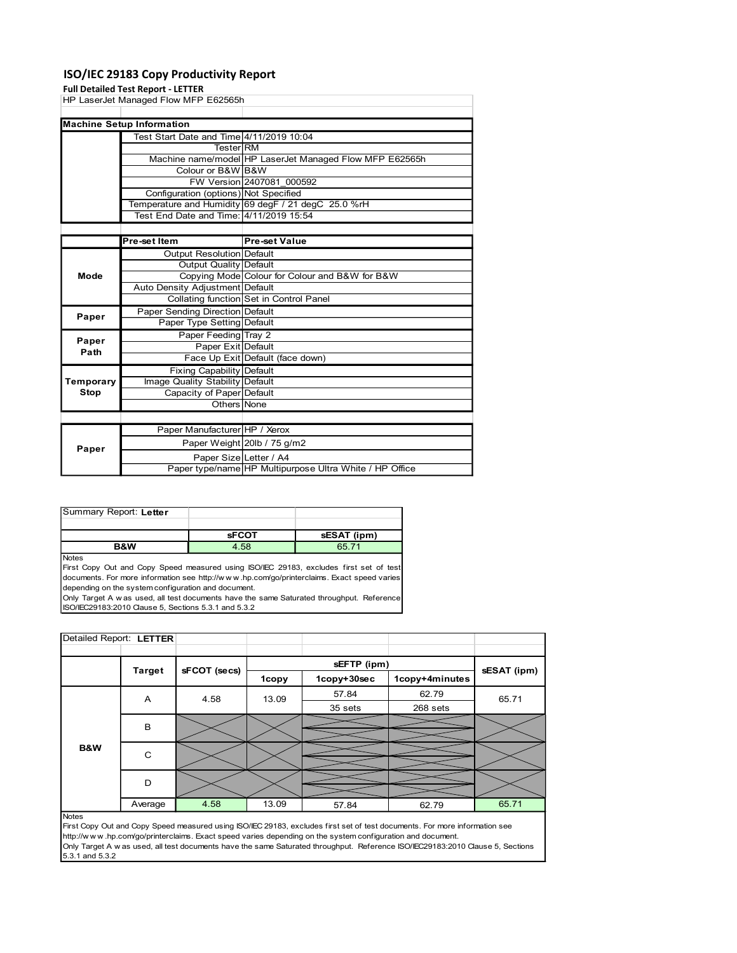# ISO/IEC 29183 Copy Productivity Report

## Full Detailed Test Report - LETTER

| Paper Manufacturer HP / Xerox<br>Paper Weight 20lb / 75 g/m2<br>Paper Size Letter / A4<br>Paper type/name HP Multipurpose Ultra White / HP Office<br><b>sFCOT</b><br>sESAT (ipm)<br><b>B&amp;W</b><br>4.58<br>65.71 | FW Version 2407081_000592<br>Configuration (options) Not Specified<br><b>Pre-set Value</b><br><b>Output Resolution Default</b><br><b>Output Quality Default</b><br>Copying Mode Colour for Colour and B&W for B&W<br>Collating function Set in Control Panel<br>Paper Type Setting Default<br>Paper Feeding Tray 2<br>Paper Exit Default<br>Face Up Exit Default (face down)<br><b>Fixing Capability Default</b><br>Image Quality Stability Default<br>Capacity of Paper Default<br>Others None | <b>Machine Setup Information</b><br>Test Start Date and Time 4/11/2019 10:04<br>Tester RM<br>Machine name/model HP LaserJet Managed Flow MFP E62565h<br>Colour or B&W B&W<br>Temperature and Humidity 69 degF / 21 degC 25.0 %rH<br>Test End Date and Time: 4/11/2019 15:54<br>Pre-set Item<br>Mode<br>Auto Density Adjustment Default<br>Paper Sending Direction Default<br>Paper<br>Paper<br>Path<br>Temporary<br><b>Stop</b><br>Paper<br>Summary Report: Letter<br>Notes<br>First Copy Out and Copy Speed measured using ISO/IEC 29183, excludes first set of test<br>documents. For more information see http://www.hp.com/go/printerclaims. Exact speed varies<br>depending on the system configuration and document.<br>Only Target A w as used, all test documents have the same Saturated throughput. Reference<br>ISO/IEC29183:2010 Clause 5, Sections 5.3.1 and 5.3.2<br>Detailed Report: LETTER |  |
|---------------------------------------------------------------------------------------------------------------------------------------------------------------------------------------------------------------------|-------------------------------------------------------------------------------------------------------------------------------------------------------------------------------------------------------------------------------------------------------------------------------------------------------------------------------------------------------------------------------------------------------------------------------------------------------------------------------------------------|------------------------------------------------------------------------------------------------------------------------------------------------------------------------------------------------------------------------------------------------------------------------------------------------------------------------------------------------------------------------------------------------------------------------------------------------------------------------------------------------------------------------------------------------------------------------------------------------------------------------------------------------------------------------------------------------------------------------------------------------------------------------------------------------------------------------------------------------------------------------------------------------------------|--|
|                                                                                                                                                                                                                     |                                                                                                                                                                                                                                                                                                                                                                                                                                                                                                 |                                                                                                                                                                                                                                                                                                                                                                                                                                                                                                                                                                                                                                                                                                                                                                                                                                                                                                            |  |
|                                                                                                                                                                                                                     |                                                                                                                                                                                                                                                                                                                                                                                                                                                                                                 |                                                                                                                                                                                                                                                                                                                                                                                                                                                                                                                                                                                                                                                                                                                                                                                                                                                                                                            |  |
|                                                                                                                                                                                                                     |                                                                                                                                                                                                                                                                                                                                                                                                                                                                                                 |                                                                                                                                                                                                                                                                                                                                                                                                                                                                                                                                                                                                                                                                                                                                                                                                                                                                                                            |  |
|                                                                                                                                                                                                                     |                                                                                                                                                                                                                                                                                                                                                                                                                                                                                                 |                                                                                                                                                                                                                                                                                                                                                                                                                                                                                                                                                                                                                                                                                                                                                                                                                                                                                                            |  |
|                                                                                                                                                                                                                     |                                                                                                                                                                                                                                                                                                                                                                                                                                                                                                 |                                                                                                                                                                                                                                                                                                                                                                                                                                                                                                                                                                                                                                                                                                                                                                                                                                                                                                            |  |
|                                                                                                                                                                                                                     |                                                                                                                                                                                                                                                                                                                                                                                                                                                                                                 |                                                                                                                                                                                                                                                                                                                                                                                                                                                                                                                                                                                                                                                                                                                                                                                                                                                                                                            |  |
|                                                                                                                                                                                                                     |                                                                                                                                                                                                                                                                                                                                                                                                                                                                                                 |                                                                                                                                                                                                                                                                                                                                                                                                                                                                                                                                                                                                                                                                                                                                                                                                                                                                                                            |  |
|                                                                                                                                                                                                                     |                                                                                                                                                                                                                                                                                                                                                                                                                                                                                                 |                                                                                                                                                                                                                                                                                                                                                                                                                                                                                                                                                                                                                                                                                                                                                                                                                                                                                                            |  |
|                                                                                                                                                                                                                     |                                                                                                                                                                                                                                                                                                                                                                                                                                                                                                 |                                                                                                                                                                                                                                                                                                                                                                                                                                                                                                                                                                                                                                                                                                                                                                                                                                                                                                            |  |
|                                                                                                                                                                                                                     |                                                                                                                                                                                                                                                                                                                                                                                                                                                                                                 |                                                                                                                                                                                                                                                                                                                                                                                                                                                                                                                                                                                                                                                                                                                                                                                                                                                                                                            |  |
|                                                                                                                                                                                                                     |                                                                                                                                                                                                                                                                                                                                                                                                                                                                                                 |                                                                                                                                                                                                                                                                                                                                                                                                                                                                                                                                                                                                                                                                                                                                                                                                                                                                                                            |  |
|                                                                                                                                                                                                                     |                                                                                                                                                                                                                                                                                                                                                                                                                                                                                                 |                                                                                                                                                                                                                                                                                                                                                                                                                                                                                                                                                                                                                                                                                                                                                                                                                                                                                                            |  |
|                                                                                                                                                                                                                     |                                                                                                                                                                                                                                                                                                                                                                                                                                                                                                 |                                                                                                                                                                                                                                                                                                                                                                                                                                                                                                                                                                                                                                                                                                                                                                                                                                                                                                            |  |
|                                                                                                                                                                                                                     |                                                                                                                                                                                                                                                                                                                                                                                                                                                                                                 |                                                                                                                                                                                                                                                                                                                                                                                                                                                                                                                                                                                                                                                                                                                                                                                                                                                                                                            |  |
|                                                                                                                                                                                                                     |                                                                                                                                                                                                                                                                                                                                                                                                                                                                                                 |                                                                                                                                                                                                                                                                                                                                                                                                                                                                                                                                                                                                                                                                                                                                                                                                                                                                                                            |  |
|                                                                                                                                                                                                                     |                                                                                                                                                                                                                                                                                                                                                                                                                                                                                                 |                                                                                                                                                                                                                                                                                                                                                                                                                                                                                                                                                                                                                                                                                                                                                                                                                                                                                                            |  |
|                                                                                                                                                                                                                     |                                                                                                                                                                                                                                                                                                                                                                                                                                                                                                 |                                                                                                                                                                                                                                                                                                                                                                                                                                                                                                                                                                                                                                                                                                                                                                                                                                                                                                            |  |
|                                                                                                                                                                                                                     |                                                                                                                                                                                                                                                                                                                                                                                                                                                                                                 |                                                                                                                                                                                                                                                                                                                                                                                                                                                                                                                                                                                                                                                                                                                                                                                                                                                                                                            |  |
|                                                                                                                                                                                                                     |                                                                                                                                                                                                                                                                                                                                                                                                                                                                                                 |                                                                                                                                                                                                                                                                                                                                                                                                                                                                                                                                                                                                                                                                                                                                                                                                                                                                                                            |  |
|                                                                                                                                                                                                                     |                                                                                                                                                                                                                                                                                                                                                                                                                                                                                                 |                                                                                                                                                                                                                                                                                                                                                                                                                                                                                                                                                                                                                                                                                                                                                                                                                                                                                                            |  |
|                                                                                                                                                                                                                     |                                                                                                                                                                                                                                                                                                                                                                                                                                                                                                 |                                                                                                                                                                                                                                                                                                                                                                                                                                                                                                                                                                                                                                                                                                                                                                                                                                                                                                            |  |
|                                                                                                                                                                                                                     |                                                                                                                                                                                                                                                                                                                                                                                                                                                                                                 |                                                                                                                                                                                                                                                                                                                                                                                                                                                                                                                                                                                                                                                                                                                                                                                                                                                                                                            |  |
|                                                                                                                                                                                                                     |                                                                                                                                                                                                                                                                                                                                                                                                                                                                                                 |                                                                                                                                                                                                                                                                                                                                                                                                                                                                                                                                                                                                                                                                                                                                                                                                                                                                                                            |  |
|                                                                                                                                                                                                                     |                                                                                                                                                                                                                                                                                                                                                                                                                                                                                                 |                                                                                                                                                                                                                                                                                                                                                                                                                                                                                                                                                                                                                                                                                                                                                                                                                                                                                                            |  |
|                                                                                                                                                                                                                     |                                                                                                                                                                                                                                                                                                                                                                                                                                                                                                 |                                                                                                                                                                                                                                                                                                                                                                                                                                                                                                                                                                                                                                                                                                                                                                                                                                                                                                            |  |
|                                                                                                                                                                                                                     |                                                                                                                                                                                                                                                                                                                                                                                                                                                                                                 |                                                                                                                                                                                                                                                                                                                                                                                                                                                                                                                                                                                                                                                                                                                                                                                                                                                                                                            |  |
|                                                                                                                                                                                                                     |                                                                                                                                                                                                                                                                                                                                                                                                                                                                                                 | <b>Full Detailed Test Report - LETTER</b><br>HP LaserJet Managed Flow MFP E62565h                                                                                                                                                                                                                                                                                                                                                                                                                                                                                                                                                                                                                                                                                                                                                                                                                          |  |
|                                                                                                                                                                                                                     |                                                                                                                                                                                                                                                                                                                                                                                                                                                                                                 |                                                                                                                                                                                                                                                                                                                                                                                                                                                                                                                                                                                                                                                                                                                                                                                                                                                                                                            |  |

| Summary Report: Letter |              |             |
|------------------------|--------------|-------------|
|                        |              |             |
|                        | <b>SFCOT</b> | sESAT (ipm) |
| <b>B&amp;W</b>         | 4.58         | 6571        |

| .                       |                           |                                                      | Face Up Exit Default (face down) |                                                                                                            |                                                                                                                                |             |
|-------------------------|---------------------------|------------------------------------------------------|----------------------------------|------------------------------------------------------------------------------------------------------------|--------------------------------------------------------------------------------------------------------------------------------|-------------|
|                         | Fixing Capability Default |                                                      |                                  |                                                                                                            |                                                                                                                                |             |
| Temporary               |                           | Image Quality Stability Default                      |                                  |                                                                                                            |                                                                                                                                |             |
| Stop                    |                           | Capacity of Paper Default                            |                                  |                                                                                                            |                                                                                                                                |             |
|                         |                           | Others None                                          |                                  |                                                                                                            |                                                                                                                                |             |
|                         |                           |                                                      |                                  |                                                                                                            |                                                                                                                                |             |
|                         |                           | Paper Manufacturer HP / Xerox                        |                                  |                                                                                                            |                                                                                                                                |             |
|                         |                           | Paper Weight 20lb / 75 g/m2                          |                                  |                                                                                                            |                                                                                                                                |             |
| Paper                   |                           | Paper Size Letter / A4                               |                                  |                                                                                                            |                                                                                                                                |             |
|                         |                           |                                                      |                                  | Paper type/name HP Multipurpose Ultra White / HP Office                                                    |                                                                                                                                |             |
|                         |                           |                                                      |                                  |                                                                                                            |                                                                                                                                |             |
|                         |                           |                                                      |                                  |                                                                                                            |                                                                                                                                |             |
| Summary Report: Letter  |                           |                                                      |                                  |                                                                                                            |                                                                                                                                |             |
|                         |                           |                                                      |                                  |                                                                                                            |                                                                                                                                |             |
|                         |                           |                                                      | <b>sFCOT</b><br>sESAT (ipm)      |                                                                                                            |                                                                                                                                |             |
|                         | B&W                       |                                                      | 4.58<br>65.71                    |                                                                                                            |                                                                                                                                |             |
| <b>Notes</b>            |                           |                                                      |                                  | First Copy Out and Copy Speed measured using ISO/IEC 29183, excludes first set of test                     |                                                                                                                                |             |
|                         |                           |                                                      |                                  | documents. For more information see http://www.hp.com/go/printerclaims. Exact speed varies                 |                                                                                                                                |             |
|                         |                           | depending on the system configuration and document.  |                                  |                                                                                                            |                                                                                                                                |             |
|                         |                           |                                                      |                                  | Only Target A w as used, all test documents have the same Saturated throughput. Reference                  |                                                                                                                                |             |
|                         |                           | ISO/IEC29183:2010 Clause 5, Sections 5.3.1 and 5.3.2 |                                  |                                                                                                            |                                                                                                                                |             |
|                         |                           |                                                      |                                  |                                                                                                            |                                                                                                                                |             |
|                         |                           |                                                      |                                  |                                                                                                            |                                                                                                                                |             |
|                         |                           |                                                      |                                  |                                                                                                            |                                                                                                                                |             |
| Detailed Report: LETTER |                           |                                                      |                                  |                                                                                                            |                                                                                                                                |             |
|                         |                           |                                                      |                                  |                                                                                                            |                                                                                                                                |             |
|                         | <b>Target</b>             | sFCOT (secs)                                         |                                  | sEFTP (ipm)                                                                                                |                                                                                                                                | sESAT (ipm) |
|                         |                           |                                                      | 1copy                            | 1copy+30sec                                                                                                | 1copy+4minutes                                                                                                                 |             |
|                         | Α                         | 4.58                                                 | 13.09                            | 57.84                                                                                                      | 62.79                                                                                                                          | 65.71       |
|                         |                           |                                                      |                                  | 35 sets                                                                                                    | 268 sets                                                                                                                       |             |
|                         | В                         |                                                      |                                  |                                                                                                            |                                                                                                                                |             |
|                         |                           |                                                      |                                  |                                                                                                            |                                                                                                                                |             |
| B&W                     |                           |                                                      |                                  |                                                                                                            |                                                                                                                                |             |
|                         | C                         |                                                      |                                  |                                                                                                            |                                                                                                                                |             |
|                         |                           |                                                      |                                  |                                                                                                            |                                                                                                                                |             |
|                         | D                         |                                                      |                                  |                                                                                                            |                                                                                                                                |             |
|                         |                           |                                                      |                                  |                                                                                                            |                                                                                                                                |             |
|                         | Average                   | 4.58                                                 | 13.09                            | 57.84                                                                                                      | 62.79                                                                                                                          | 65.71       |
| <b>Notes</b>            |                           |                                                      |                                  |                                                                                                            |                                                                                                                                |             |
|                         |                           |                                                      |                                  | http://www.hp.com/go/printerclaims. Exact speed varies depending on the system configuration and document. | First Copy Out and Copy Speed measured using ISO/IEC 29183, excludes first set of test documents. For more information see     |             |
|                         |                           |                                                      |                                  |                                                                                                            | Only Target A w as used, all test documents have the same Saturated throughput. Reference ISO/IEC29183:2010 Clause 5, Sections |             |
| 5.3.1 and 5.3.2         |                           |                                                      |                                  |                                                                                                            |                                                                                                                                |             |
|                         |                           |                                                      |                                  |                                                                                                            |                                                                                                                                |             |
|                         |                           |                                                      |                                  |                                                                                                            |                                                                                                                                |             |
|                         |                           |                                                      |                                  |                                                                                                            |                                                                                                                                |             |
|                         |                           |                                                      |                                  |                                                                                                            |                                                                                                                                |             |
|                         |                           |                                                      |                                  |                                                                                                            |                                                                                                                                |             |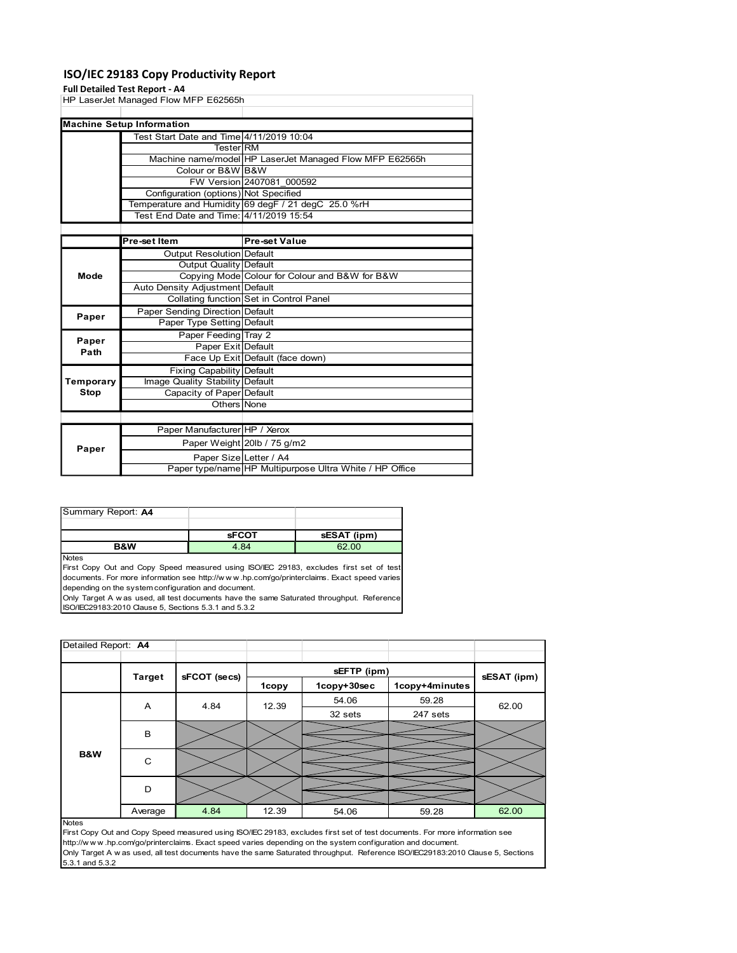## ISO/IEC 29183 Copy Productivity Report

## Full Detailed Test Report - A4

| Test Start Date and Time 4/11/2019 10:04<br>Tester RM<br>Machine name/model HP LaserJet Managed Flow MFP E62565h<br>Colour or B&W B&W<br>FW Version 2407081_000592<br>Configuration (options) Not Specified<br>Temperature and Humidity 69 degF / 21 degC 25.0 %rH<br>Test End Date and Time: 4/11/2019 15:54<br><b>Pre-set Value</b><br>Pre-set Item<br><b>Output Resolution Default</b><br><b>Output Quality Default</b><br>Copying Mode Colour for Colour and B&W for B&W<br>Mode<br>Auto Density Adjustment Default<br>Collating function Set in Control Panel<br>Paper Sending Direction Default<br>Paper<br>Paper Type Setting Default<br>Paper Feeding Tray 2<br>Paper<br>Paper Exit Default<br>Path<br>Face Up Exit Default (face down)<br><b>Fixing Capability Default</b><br>Image Quality Stability Default<br><b>Stop</b><br>Capacity of Paper Default<br>Others None<br>Paper Manufacturer HP / Xerox<br>Paper Weight 20lb / 75 g/m2<br>Paper<br>Paper Size Letter / A4<br>Paper type/name HP Multipurpose Ultra White / HP Office<br><b>sFCOT</b><br>sESAT (ipm)<br><b>B&amp;W</b><br>4.84<br>62.00 |                                | Summary Report: A4<br>Notes<br>First Copy Out and Copy Speed measured using ISO/IEC 29183, excludes first set of test<br>documents. For more information see http://www.hp.com/go/printerclaims. Exact speed varies<br>depending on the system configuration and document.<br>Only Target A w as used, all test documents have the same Saturated throughput. Reference<br>ISO/IEC29183:2010 Clause 5, Sections 5.3.1 and 5.3.2 |
|-------------------------------------------------------------------------------------------------------------------------------------------------------------------------------------------------------------------------------------------------------------------------------------------------------------------------------------------------------------------------------------------------------------------------------------------------------------------------------------------------------------------------------------------------------------------------------------------------------------------------------------------------------------------------------------------------------------------------------------------------------------------------------------------------------------------------------------------------------------------------------------------------------------------------------------------------------------------------------------------------------------------------------------------------------------------------------------------------------------------|--------------------------------|---------------------------------------------------------------------------------------------------------------------------------------------------------------------------------------------------------------------------------------------------------------------------------------------------------------------------------------------------------------------------------------------------------------------------------|
|                                                                                                                                                                                                                                                                                                                                                                                                                                                                                                                                                                                                                                                                                                                                                                                                                                                                                                                                                                                                                                                                                                                   |                                |                                                                                                                                                                                                                                                                                                                                                                                                                                 |
|                                                                                                                                                                                                                                                                                                                                                                                                                                                                                                                                                                                                                                                                                                                                                                                                                                                                                                                                                                                                                                                                                                                   |                                |                                                                                                                                                                                                                                                                                                                                                                                                                                 |
|                                                                                                                                                                                                                                                                                                                                                                                                                                                                                                                                                                                                                                                                                                                                                                                                                                                                                                                                                                                                                                                                                                                   |                                |                                                                                                                                                                                                                                                                                                                                                                                                                                 |
|                                                                                                                                                                                                                                                                                                                                                                                                                                                                                                                                                                                                                                                                                                                                                                                                                                                                                                                                                                                                                                                                                                                   |                                |                                                                                                                                                                                                                                                                                                                                                                                                                                 |
|                                                                                                                                                                                                                                                                                                                                                                                                                                                                                                                                                                                                                                                                                                                                                                                                                                                                                                                                                                                                                                                                                                                   |                                |                                                                                                                                                                                                                                                                                                                                                                                                                                 |
|                                                                                                                                                                                                                                                                                                                                                                                                                                                                                                                                                                                                                                                                                                                                                                                                                                                                                                                                                                                                                                                                                                                   |                                |                                                                                                                                                                                                                                                                                                                                                                                                                                 |
|                                                                                                                                                                                                                                                                                                                                                                                                                                                                                                                                                                                                                                                                                                                                                                                                                                                                                                                                                                                                                                                                                                                   |                                |                                                                                                                                                                                                                                                                                                                                                                                                                                 |
|                                                                                                                                                                                                                                                                                                                                                                                                                                                                                                                                                                                                                                                                                                                                                                                                                                                                                                                                                                                                                                                                                                                   |                                | Temporary                                                                                                                                                                                                                                                                                                                                                                                                                       |
|                                                                                                                                                                                                                                                                                                                                                                                                                                                                                                                                                                                                                                                                                                                                                                                                                                                                                                                                                                                                                                                                                                                   |                                |                                                                                                                                                                                                                                                                                                                                                                                                                                 |
|                                                                                                                                                                                                                                                                                                                                                                                                                                                                                                                                                                                                                                                                                                                                                                                                                                                                                                                                                                                                                                                                                                                   |                                |                                                                                                                                                                                                                                                                                                                                                                                                                                 |
|                                                                                                                                                                                                                                                                                                                                                                                                                                                                                                                                                                                                                                                                                                                                                                                                                                                                                                                                                                                                                                                                                                                   |                                |                                                                                                                                                                                                                                                                                                                                                                                                                                 |
|                                                                                                                                                                                                                                                                                                                                                                                                                                                                                                                                                                                                                                                                                                                                                                                                                                                                                                                                                                                                                                                                                                                   |                                |                                                                                                                                                                                                                                                                                                                                                                                                                                 |
|                                                                                                                                                                                                                                                                                                                                                                                                                                                                                                                                                                                                                                                                                                                                                                                                                                                                                                                                                                                                                                                                                                                   |                                |                                                                                                                                                                                                                                                                                                                                                                                                                                 |
|                                                                                                                                                                                                                                                                                                                                                                                                                                                                                                                                                                                                                                                                                                                                                                                                                                                                                                                                                                                                                                                                                                                   |                                |                                                                                                                                                                                                                                                                                                                                                                                                                                 |
|                                                                                                                                                                                                                                                                                                                                                                                                                                                                                                                                                                                                                                                                                                                                                                                                                                                                                                                                                                                                                                                                                                                   |                                |                                                                                                                                                                                                                                                                                                                                                                                                                                 |
|                                                                                                                                                                                                                                                                                                                                                                                                                                                                                                                                                                                                                                                                                                                                                                                                                                                                                                                                                                                                                                                                                                                   |                                |                                                                                                                                                                                                                                                                                                                                                                                                                                 |
|                                                                                                                                                                                                                                                                                                                                                                                                                                                                                                                                                                                                                                                                                                                                                                                                                                                                                                                                                                                                                                                                                                                   |                                |                                                                                                                                                                                                                                                                                                                                                                                                                                 |
|                                                                                                                                                                                                                                                                                                                                                                                                                                                                                                                                                                                                                                                                                                                                                                                                                                                                                                                                                                                                                                                                                                                   |                                |                                                                                                                                                                                                                                                                                                                                                                                                                                 |
|                                                                                                                                                                                                                                                                                                                                                                                                                                                                                                                                                                                                                                                                                                                                                                                                                                                                                                                                                                                                                                                                                                                   |                                | <b>Machine Setup Information</b>                                                                                                                                                                                                                                                                                                                                                                                                |
| HP LaserJet Managed Flow MFP E62565h                                                                                                                                                                                                                                                                                                                                                                                                                                                                                                                                                                                                                                                                                                                                                                                                                                                                                                                                                                                                                                                                              |                                |                                                                                                                                                                                                                                                                                                                                                                                                                                 |
|                                                                                                                                                                                                                                                                                                                                                                                                                                                                                                                                                                                                                                                                                                                                                                                                                                                                                                                                                                                                                                                                                                                   |                                |                                                                                                                                                                                                                                                                                                                                                                                                                                 |
|                                                                                                                                                                                                                                                                                                                                                                                                                                                                                                                                                                                                                                                                                                                                                                                                                                                                                                                                                                                                                                                                                                                   | Full Detailed Test Report - A4 |                                                                                                                                                                                                                                                                                                                                                                                                                                 |

| Summary Report: A4 |              |             |
|--------------------|--------------|-------------|
|                    |              |             |
|                    | <b>SFCOT</b> | sESAT (ipm) |
| <b>B&amp;W</b>     | 4.84         | 62.00       |

|                     | <b>Fixing Capability Default</b> |                                                      |       |                                                                                                            |                                                                                                                                |             |
|---------------------|----------------------------------|------------------------------------------------------|-------|------------------------------------------------------------------------------------------------------------|--------------------------------------------------------------------------------------------------------------------------------|-------------|
| Temporary           | Image Quality Stability Default  |                                                      |       |                                                                                                            |                                                                                                                                |             |
| <b>Stop</b>         |                                  | Capacity of Paper Default                            |       |                                                                                                            |                                                                                                                                |             |
|                     |                                  | Others None                                          |       |                                                                                                            |                                                                                                                                |             |
|                     |                                  |                                                      |       |                                                                                                            |                                                                                                                                |             |
|                     |                                  | Paper Manufacturer HP / Xerox                        |       |                                                                                                            |                                                                                                                                |             |
| Paper               |                                  | Paper Weight 20lb / 75 g/m2                          |       |                                                                                                            |                                                                                                                                |             |
|                     |                                  | Paper Size Letter / A4                               |       |                                                                                                            |                                                                                                                                |             |
|                     |                                  |                                                      |       | Paper type/name HP Multipurpose Ultra White / HP Office                                                    |                                                                                                                                |             |
|                     |                                  |                                                      |       |                                                                                                            |                                                                                                                                |             |
|                     |                                  |                                                      |       |                                                                                                            |                                                                                                                                |             |
| Summary Report: A4  |                                  |                                                      |       |                                                                                                            |                                                                                                                                |             |
|                     | <b>sFCOT</b>                     |                                                      |       | sESAT (ipm)                                                                                                |                                                                                                                                |             |
|                     | B&W                              | 4.84                                                 |       | 62.00                                                                                                      |                                                                                                                                |             |
| Notes               |                                  |                                                      |       |                                                                                                            |                                                                                                                                |             |
|                     |                                  |                                                      |       | First Copy Out and Copy Speed measured using ISO/IEC 29183, excludes first set of test                     |                                                                                                                                |             |
|                     |                                  | depending on the system configuration and document.  |       | documents. For more information see http://www.hp.com/go/printerclaims. Exact speed varies                 |                                                                                                                                |             |
|                     |                                  |                                                      |       | Only Target A w as used, all test documents have the same Saturated throughput. Reference                  |                                                                                                                                |             |
|                     |                                  | ISO/IEC29183:2010 Clause 5, Sections 5.3.1 and 5.3.2 |       |                                                                                                            |                                                                                                                                |             |
|                     |                                  |                                                      |       |                                                                                                            |                                                                                                                                |             |
|                     |                                  |                                                      |       |                                                                                                            |                                                                                                                                |             |
| Detailed Report: A4 |                                  |                                                      |       |                                                                                                            |                                                                                                                                |             |
|                     |                                  |                                                      |       |                                                                                                            |                                                                                                                                |             |
|                     |                                  | sFCOT (secs)                                         |       | sEFTP (ipm)                                                                                                |                                                                                                                                | sESAT (ipm) |
|                     | <b>Target</b>                    |                                                      |       |                                                                                                            |                                                                                                                                |             |
|                     |                                  |                                                      | 1copy | 1copy+30sec                                                                                                | 1copy+4minutes                                                                                                                 |             |
|                     | Α                                | 4.84                                                 |       | 54.06                                                                                                      | 59.28                                                                                                                          |             |
|                     |                                  |                                                      | 12.39 | 32 sets                                                                                                    | 247 sets                                                                                                                       | 62.00       |
|                     |                                  |                                                      |       |                                                                                                            |                                                                                                                                |             |
|                     | В                                |                                                      |       |                                                                                                            |                                                                                                                                |             |
| B&W                 |                                  |                                                      |       |                                                                                                            |                                                                                                                                |             |
|                     | C                                |                                                      |       |                                                                                                            |                                                                                                                                |             |
|                     |                                  |                                                      |       |                                                                                                            |                                                                                                                                |             |
|                     | D                                |                                                      |       |                                                                                                            |                                                                                                                                |             |
|                     | Average                          | 4.84                                                 | 12.39 | 54.06                                                                                                      | 59.28                                                                                                                          | 62.00       |
|                     |                                  |                                                      |       |                                                                                                            |                                                                                                                                |             |
| <b>Notes</b>        |                                  |                                                      |       |                                                                                                            | First Copy Out and Copy Speed measured using ISO/IEC 29183, excludes first set of test documents. For more information see     |             |
|                     |                                  |                                                      |       | http://www.hp.com/go/printerclaims. Exact speed varies depending on the system configuration and document. |                                                                                                                                |             |
|                     |                                  |                                                      |       |                                                                                                            | Only Target A w as used, all test documents have the same Saturated throughput. Reference ISO/IEC29183:2010 Clause 5, Sections |             |
|                     |                                  |                                                      |       |                                                                                                            |                                                                                                                                |             |
|                     |                                  |                                                      |       |                                                                                                            |                                                                                                                                |             |
| 5.3.1 and 5.3.2     |                                  |                                                      |       |                                                                                                            |                                                                                                                                |             |
|                     |                                  |                                                      |       |                                                                                                            |                                                                                                                                |             |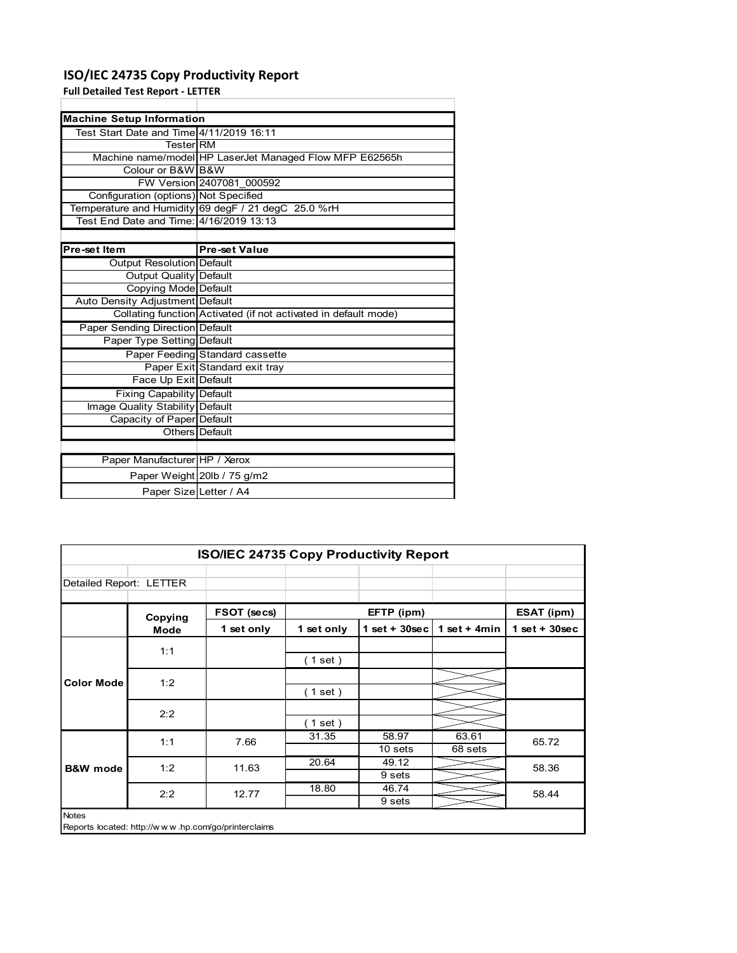## ISO/IEC 24735 Copy Productivity Report

| Test Start Date and Time 4/11/2019 16:11<br>Tester RM<br>Machine name/model HP LaserJet Managed Flow MFP E62565h<br>Colour or B&W B&W<br>FW Version 2407081 000592<br>Configuration (options) Not Specified<br>Temperature and Humidity 69 degF / 21 degC 25.0 %rH<br>Test End Date and Time: 4/16/2019 13:13<br><b>Pre-set Value</b><br>Output Resolution Default<br><b>Output Quality Default</b><br>Copying Mode Default<br>Auto Density Adjustment Default<br>Collating function Activated (if not activated in default mode)<br><b>Paper Sending Direction Default</b><br>Paper Type Setting Default<br>Paper Feeding Standard cassette<br>Paper Exit Standard exit tray<br>Face Up Exit Default<br>Fixing Capability Default<br>Image Quality Stability Default<br>Capacity of Paper Default<br>Others Default<br>Paper Manufacturer HP / Xerox<br>Paper Weight 20lb / 75 g/m2 |  |
|--------------------------------------------------------------------------------------------------------------------------------------------------------------------------------------------------------------------------------------------------------------------------------------------------------------------------------------------------------------------------------------------------------------------------------------------------------------------------------------------------------------------------------------------------------------------------------------------------------------------------------------------------------------------------------------------------------------------------------------------------------------------------------------------------------------------------------------------------------------------------------------|--|
| ISO/IEC 24735 Copy Productivity Report<br><b>Full Detailed Test Report - LETTER</b><br><b>Machine Setup Information</b><br>Pre-set Item                                                                                                                                                                                                                                                                                                                                                                                                                                                                                                                                                                                                                                                                                                                                              |  |
|                                                                                                                                                                                                                                                                                                                                                                                                                                                                                                                                                                                                                                                                                                                                                                                                                                                                                      |  |
|                                                                                                                                                                                                                                                                                                                                                                                                                                                                                                                                                                                                                                                                                                                                                                                                                                                                                      |  |
|                                                                                                                                                                                                                                                                                                                                                                                                                                                                                                                                                                                                                                                                                                                                                                                                                                                                                      |  |
|                                                                                                                                                                                                                                                                                                                                                                                                                                                                                                                                                                                                                                                                                                                                                                                                                                                                                      |  |
|                                                                                                                                                                                                                                                                                                                                                                                                                                                                                                                                                                                                                                                                                                                                                                                                                                                                                      |  |
|                                                                                                                                                                                                                                                                                                                                                                                                                                                                                                                                                                                                                                                                                                                                                                                                                                                                                      |  |
|                                                                                                                                                                                                                                                                                                                                                                                                                                                                                                                                                                                                                                                                                                                                                                                                                                                                                      |  |
|                                                                                                                                                                                                                                                                                                                                                                                                                                                                                                                                                                                                                                                                                                                                                                                                                                                                                      |  |
|                                                                                                                                                                                                                                                                                                                                                                                                                                                                                                                                                                                                                                                                                                                                                                                                                                                                                      |  |
|                                                                                                                                                                                                                                                                                                                                                                                                                                                                                                                                                                                                                                                                                                                                                                                                                                                                                      |  |
|                                                                                                                                                                                                                                                                                                                                                                                                                                                                                                                                                                                                                                                                                                                                                                                                                                                                                      |  |
|                                                                                                                                                                                                                                                                                                                                                                                                                                                                                                                                                                                                                                                                                                                                                                                                                                                                                      |  |
|                                                                                                                                                                                                                                                                                                                                                                                                                                                                                                                                                                                                                                                                                                                                                                                                                                                                                      |  |
|                                                                                                                                                                                                                                                                                                                                                                                                                                                                                                                                                                                                                                                                                                                                                                                                                                                                                      |  |
|                                                                                                                                                                                                                                                                                                                                                                                                                                                                                                                                                                                                                                                                                                                                                                                                                                                                                      |  |
|                                                                                                                                                                                                                                                                                                                                                                                                                                                                                                                                                                                                                                                                                                                                                                                                                                                                                      |  |
|                                                                                                                                                                                                                                                                                                                                                                                                                                                                                                                                                                                                                                                                                                                                                                                                                                                                                      |  |
|                                                                                                                                                                                                                                                                                                                                                                                                                                                                                                                                                                                                                                                                                                                                                                                                                                                                                      |  |
|                                                                                                                                                                                                                                                                                                                                                                                                                                                                                                                                                                                                                                                                                                                                                                                                                                                                                      |  |
|                                                                                                                                                                                                                                                                                                                                                                                                                                                                                                                                                                                                                                                                                                                                                                                                                                                                                      |  |
|                                                                                                                                                                                                                                                                                                                                                                                                                                                                                                                                                                                                                                                                                                                                                                                                                                                                                      |  |
|                                                                                                                                                                                                                                                                                                                                                                                                                                                                                                                                                                                                                                                                                                                                                                                                                                                                                      |  |
|                                                                                                                                                                                                                                                                                                                                                                                                                                                                                                                                                                                                                                                                                                                                                                                                                                                                                      |  |
|                                                                                                                                                                                                                                                                                                                                                                                                                                                                                                                                                                                                                                                                                                                                                                                                                                                                                      |  |
|                                                                                                                                                                                                                                                                                                                                                                                                                                                                                                                                                                                                                                                                                                                                                                                                                                                                                      |  |
|                                                                                                                                                                                                                                                                                                                                                                                                                                                                                                                                                                                                                                                                                                                                                                                                                                                                                      |  |
|                                                                                                                                                                                                                                                                                                                                                                                                                                                                                                                                                                                                                                                                                                                                                                                                                                                                                      |  |
|                                                                                                                                                                                                                                                                                                                                                                                                                                                                                                                                                                                                                                                                                                                                                                                                                                                                                      |  |
|                                                                                                                                                                                                                                                                                                                                                                                                                                                                                                                                                                                                                                                                                                                                                                                                                                                                                      |  |
|                                                                                                                                                                                                                                                                                                                                                                                                                                                                                                                                                                                                                                                                                                                                                                                                                                                                                      |  |
|                                                                                                                                                                                                                                                                                                                                                                                                                                                                                                                                                                                                                                                                                                                                                                                                                                                                                      |  |
|                                                                                                                                                                                                                                                                                                                                                                                                                                                                                                                                                                                                                                                                                                                                                                                                                                                                                      |  |
|                                                                                                                                                                                                                                                                                                                                                                                                                                                                                                                                                                                                                                                                                                                                                                                                                                                                                      |  |
|                                                                                                                                                                                                                                                                                                                                                                                                                                                                                                                                                                                                                                                                                                                                                                                                                                                                                      |  |
|                                                                                                                                                                                                                                                                                                                                                                                                                                                                                                                                                                                                                                                                                                                                                                                                                                                                                      |  |
|                                                                                                                                                                                                                                                                                                                                                                                                                                                                                                                                                                                                                                                                                                                                                                                                                                                                                      |  |
|                                                                                                                                                                                                                                                                                                                                                                                                                                                                                                                                                                                                                                                                                                                                                                                                                                                                                      |  |
|                                                                                                                                                                                                                                                                                                                                                                                                                                                                                                                                                                                                                                                                                                                                                                                                                                                                                      |  |
|                                                                                                                                                                                                                                                                                                                                                                                                                                                                                                                                                                                                                                                                                                                                                                                                                                                                                      |  |
|                                                                                                                                                                                                                                                                                                                                                                                                                                                                                                                                                                                                                                                                                                                                                                                                                                                                                      |  |
|                                                                                                                                                                                                                                                                                                                                                                                                                                                                                                                                                                                                                                                                                                                                                                                                                                                                                      |  |
|                                                                                                                                                                                                                                                                                                                                                                                                                                                                                                                                                                                                                                                                                                                                                                                                                                                                                      |  |
|                                                                                                                                                                                                                                                                                                                                                                                                                                                                                                                                                                                                                                                                                                                                                                                                                                                                                      |  |
|                                                                                                                                                                                                                                                                                                                                                                                                                                                                                                                                                                                                                                                                                                                                                                                                                                                                                      |  |
| Paper Size Letter / A4                                                                                                                                                                                                                                                                                                                                                                                                                                                                                                                                                                                                                                                                                                                                                                                                                                                               |  |
|                                                                                                                                                                                                                                                                                                                                                                                                                                                                                                                                                                                                                                                                                                                                                                                                                                                                                      |  |
|                                                                                                                                                                                                                                                                                                                                                                                                                                                                                                                                                                                                                                                                                                                                                                                                                                                                                      |  |
|                                                                                                                                                                                                                                                                                                                                                                                                                                                                                                                                                                                                                                                                                                                                                                                                                                                                                      |  |
|                                                                                                                                                                                                                                                                                                                                                                                                                                                                                                                                                                                                                                                                                                                                                                                                                                                                                      |  |
| ISO/IEC 24735 Copy Productivity Report                                                                                                                                                                                                                                                                                                                                                                                                                                                                                                                                                                                                                                                                                                                                                                                                                                               |  |

| Capacity of Eapch Delaght     |
|-------------------------------|
| Others Default                |
|                               |
| Paper Manufacturer HP / Xerox |
| Paper Weight 20lb / 75 g/m2   |
| Paper SizelLetter / A4        |
|                               |

|                         | Auto Density Adjustment Default |                                                                 |            |                   |                |                 |
|-------------------------|---------------------------------|-----------------------------------------------------------------|------------|-------------------|----------------|-----------------|
|                         |                                 | Collating function Activated (if not activated in default mode) |            |                   |                |                 |
|                         | Paper Sending Direction Default |                                                                 |            |                   |                |                 |
|                         | Paper Type Setting Default      |                                                                 |            |                   |                |                 |
|                         |                                 | Paper Feeding Standard cassette                                 |            |                   |                |                 |
|                         |                                 | Paper Exit Standard exit tray                                   |            |                   |                |                 |
|                         | Face Up Exit Default            |                                                                 |            |                   |                |                 |
|                         | Fixing Capability Default       |                                                                 |            |                   |                |                 |
|                         | Image Quality Stability Default |                                                                 |            |                   |                |                 |
|                         | Capacity of Paper Default       |                                                                 |            |                   |                |                 |
|                         | <b>Others</b> Default           |                                                                 |            |                   |                |                 |
|                         | Paper Manufacturer HP / Xerox   |                                                                 |            |                   |                |                 |
|                         |                                 |                                                                 |            |                   |                |                 |
|                         |                                 | Paper Weight 20lb / 75 g/m2                                     |            |                   |                |                 |
|                         | Paper Size Letter / A4          |                                                                 |            |                   |                |                 |
|                         |                                 |                                                                 |            |                   |                |                 |
|                         |                                 |                                                                 |            |                   |                |                 |
|                         |                                 |                                                                 |            |                   |                |                 |
|                         |                                 |                                                                 |            |                   |                |                 |
|                         |                                 | ISO/IEC 24735 Copy Productivity Report                          |            |                   |                |                 |
|                         |                                 |                                                                 |            |                   |                |                 |
| Detailed Report: LETTER |                                 |                                                                 |            |                   |                |                 |
|                         |                                 |                                                                 |            |                   |                |                 |
|                         | Copying                         | FSOT (secs)                                                     |            | EFTP (ipm)        |                | ESAT (ipm)      |
|                         | Mode                            | 1 set only                                                      | 1 set only | $1 set + 30 sec$  | 1 set + $4min$ | $1$ set + 30sec |
|                         |                                 |                                                                 |            |                   |                |                 |
|                         |                                 |                                                                 |            |                   |                |                 |
|                         | 1:1                             |                                                                 |            |                   |                |                 |
|                         |                                 |                                                                 | (1 set)    |                   |                |                 |
| <b>Color Mode</b>       | 1:2                             |                                                                 |            |                   |                |                 |
|                         |                                 |                                                                 | (1 set)    |                   |                |                 |
|                         | 2:2                             |                                                                 |            |                   |                |                 |
|                         |                                 |                                                                 | (1 set)    |                   |                |                 |
|                         |                                 |                                                                 | 31.35      | 58.97             | 63.61          |                 |
|                         | 1:1                             | 7.66                                                            |            | 10 sets           | 68 sets        | 65.72           |
| <b>B&amp;W</b> mode     | 1:2                             | 11.63                                                           | 20.64      | 49.12             |                | 58.36           |
|                         |                                 |                                                                 |            | 9 sets            |                |                 |
|                         | 2:2                             | 12.77                                                           | 18.80      | 46.74             |                | 58.44           |
|                         |                                 |                                                                 |            | 9 <sub>sets</sub> |                |                 |
| Notes                   |                                 |                                                                 |            |                   |                |                 |
|                         |                                 | Reports located: http://www.hp.com/go/printerclaims             |            |                   |                |                 |
|                         |                                 |                                                                 |            |                   |                |                 |
|                         |                                 |                                                                 |            |                   |                |                 |
|                         |                                 |                                                                 |            |                   |                |                 |
|                         |                                 |                                                                 |            |                   |                |                 |
|                         |                                 |                                                                 |            |                   |                |                 |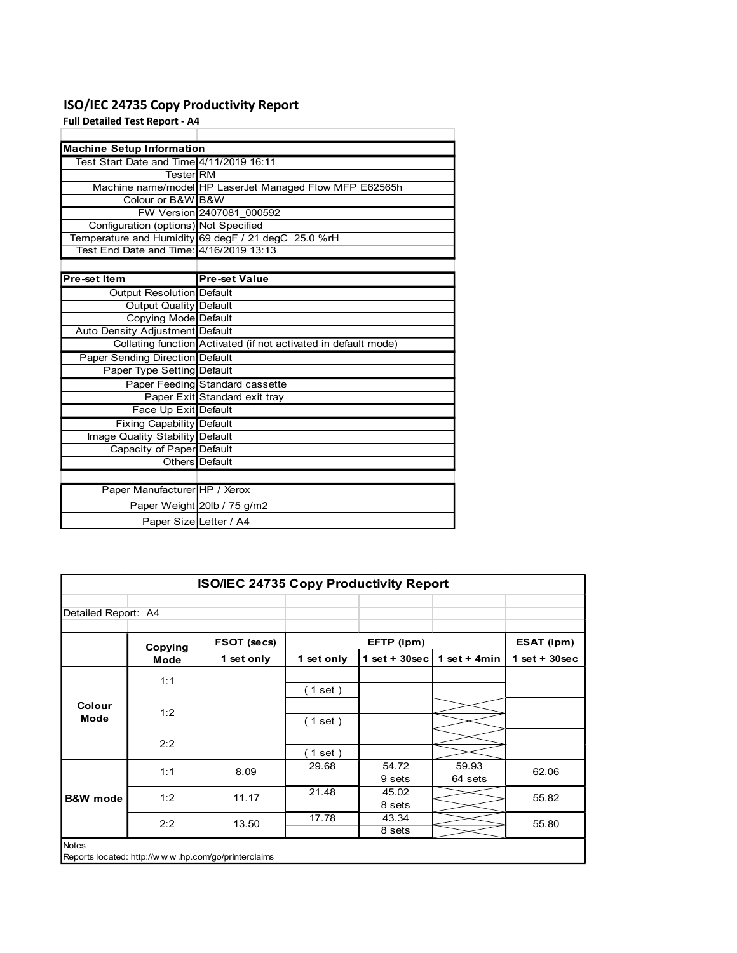## ISO/IEC 24735 Copy Productivity Report

| ISO/IEC 24735 Copy Productivity Report   |                                                                 |
|------------------------------------------|-----------------------------------------------------------------|
| <b>Full Detailed Test Report - A4</b>    |                                                                 |
|                                          |                                                                 |
| <b>Machine Setup Information</b>         |                                                                 |
| Test Start Date and Time 4/11/2019 16:11 |                                                                 |
| Tester RM                                |                                                                 |
|                                          | Machine name/model HP LaserJet Managed Flow MFP E62565h         |
| Colour or B&W B&W                        |                                                                 |
|                                          | FW Version 2407081 000592                                       |
| Configuration (options) Not Specified    |                                                                 |
|                                          | Temperature and Humidity 69 degF / 21 degC 25.0 %rH             |
| Test End Date and Time: 4/16/2019 13:13  |                                                                 |
| Pre-set Item                             | <b>Pre-set Value</b>                                            |
| Output Resolution Default                |                                                                 |
| <b>Output Quality Default</b>            |                                                                 |
| Copying Mode Default                     |                                                                 |
| Auto Density Adjustment Default          |                                                                 |
|                                          | Collating function Activated (if not activated in default mode) |
| Paper Sending Direction Default          |                                                                 |
|                                          |                                                                 |
|                                          |                                                                 |
| Paper Type Setting Default               |                                                                 |
|                                          | Paper Feeding Standard cassette                                 |
|                                          | Paper Exit Standard exit tray                                   |
| Face Up Exit Default                     |                                                                 |
| Fixing Capability Default                |                                                                 |
| <b>Image Quality Stability</b>           | Default                                                         |
| Capacity of Paper Default<br>Others      | Default                                                         |
|                                          |                                                                 |
|                                          |                                                                 |
| Paper Manufacturer HP / Xerox            |                                                                 |
|                                          | Paper Weight 20lb / 75 g/m2                                     |
|                                          | Paper Size Letter / A4                                          |
|                                          |                                                                 |
|                                          |                                                                 |
|                                          |                                                                 |

|                     | Auto Density Adjustment Default |                                                                 |            |                   |                |                 |
|---------------------|---------------------------------|-----------------------------------------------------------------|------------|-------------------|----------------|-----------------|
|                     |                                 | Collating function Activated (if not activated in default mode) |            |                   |                |                 |
|                     | Paper Sending Direction Default |                                                                 |            |                   |                |                 |
|                     | Paper Type Setting Default      |                                                                 |            |                   |                |                 |
|                     |                                 | Paper Feeding Standard cassette                                 |            |                   |                |                 |
|                     |                                 | Paper Exit Standard exit tray                                   |            |                   |                |                 |
|                     | Face Up Exit Default            |                                                                 |            |                   |                |                 |
|                     | Fixing Capability Default       |                                                                 |            |                   |                |                 |
|                     | Image Quality Stability Default |                                                                 |            |                   |                |                 |
|                     | Capacity of Paper Default       |                                                                 |            |                   |                |                 |
|                     | Others Default                  |                                                                 |            |                   |                |                 |
|                     |                                 |                                                                 |            |                   |                |                 |
|                     | Paper Manufacturer HP / Xerox   |                                                                 |            |                   |                |                 |
|                     | Paper Weight 20lb / 75 g/m2     |                                                                 |            |                   |                |                 |
|                     | Paper Size Letter / A4          |                                                                 |            |                   |                |                 |
|                     |                                 |                                                                 |            |                   |                |                 |
|                     |                                 |                                                                 |            |                   |                |                 |
|                     |                                 |                                                                 |            |                   |                |                 |
|                     |                                 |                                                                 |            |                   |                |                 |
|                     |                                 | ISO/IEC 24735 Copy Productivity Report                          |            |                   |                |                 |
|                     |                                 |                                                                 |            |                   |                |                 |
| Detailed Report: A4 |                                 |                                                                 |            |                   |                |                 |
|                     |                                 |                                                                 |            |                   |                |                 |
|                     |                                 |                                                                 |            |                   |                |                 |
|                     | Copying                         | FSOT (secs)                                                     |            | EFTP (ipm)        |                | ESAT (ipm)      |
|                     | <b>Mode</b>                     | 1 set only                                                      | 1 set only | $1$ set + 30sec   | 1 set + $4min$ | $1$ set + 30sec |
|                     |                                 |                                                                 |            |                   |                |                 |
|                     | 1:1                             |                                                                 |            |                   |                |                 |
|                     |                                 |                                                                 | (1 set)    |                   |                |                 |
| Colour              | 1:2                             |                                                                 |            |                   |                |                 |
| Mode                |                                 |                                                                 | (1 set)    |                   |                |                 |
|                     | 2:2                             |                                                                 |            |                   |                |                 |
|                     |                                 |                                                                 | (1 set)    |                   |                |                 |
|                     |                                 |                                                                 | 29.68      | 54.72             | 59.93          |                 |
|                     | 1:1                             | 8.09                                                            |            | 9 sets            | 64 sets        | 62.06           |
| <b>B&amp;W</b> mode | 1:2                             | 11.17                                                           | 21.48      | 45.02             |                | 55.82           |
|                     |                                 |                                                                 |            | 8 sets            |                |                 |
|                     |                                 |                                                                 | 17.78      | 43.34             |                | 55.80           |
|                     | 2:2                             | 13.50                                                           |            | 8 <sub>sets</sub> |                |                 |
| Notes               |                                 |                                                                 |            |                   |                |                 |
|                     |                                 | Reports located: http://www.hp.com/go/printerclaims             |            |                   |                |                 |
|                     |                                 |                                                                 |            |                   |                |                 |
|                     |                                 |                                                                 |            |                   |                |                 |
|                     |                                 |                                                                 |            |                   |                |                 |
|                     |                                 |                                                                 |            |                   |                |                 |
|                     |                                 |                                                                 |            |                   |                |                 |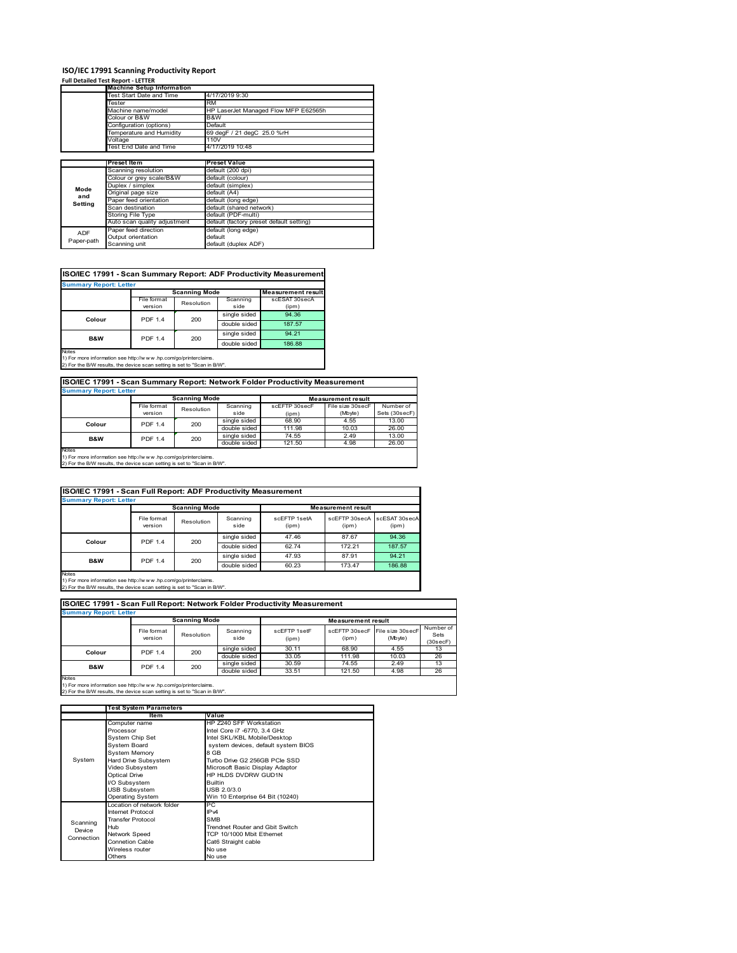#### **ISO/IEC 17991 Scanning Productivity Report**

#### **Full Detailed Test Report ‐ LETTER**

|            | <b>Machine Setup Information</b> |                                          |  |  |  |  |
|------------|----------------------------------|------------------------------------------|--|--|--|--|
|            | Test Start Date and Time         | 4/17/2019 9:30                           |  |  |  |  |
|            | Tester                           | RM                                       |  |  |  |  |
|            | Machine name/model               | HP LaserJet Managed Flow MFP E62565h     |  |  |  |  |
|            | Colour or B&W                    | B&W                                      |  |  |  |  |
|            | Configuration (options)          | Default                                  |  |  |  |  |
|            | Temperature and Humidity         | 69 degF / 21 degC 25.0 %rH               |  |  |  |  |
|            | Voltage                          | 110V                                     |  |  |  |  |
|            | Test End Date and Time           | 4/17/2019 10:48                          |  |  |  |  |
|            |                                  |                                          |  |  |  |  |
|            | <b>Preset Item</b>               | <b>Preset Value</b>                      |  |  |  |  |
|            | Scanning resolution              | default (200 dpi)                        |  |  |  |  |
|            | Colour or grey scale/B&W         | default (colour)                         |  |  |  |  |
| Mode       | Duplex / simplex                 | default (simplex)                        |  |  |  |  |
| and        | Original page size               | default (A4)                             |  |  |  |  |
| Setting    | Paper feed orientation           | default (long edge)                      |  |  |  |  |
|            | Scan destination                 | default (shared network)                 |  |  |  |  |
|            | Storing File Type                | default (PDF-multi)                      |  |  |  |  |
|            | Auto scan quality adjustment     | default (factory preset default setting) |  |  |  |  |
| <b>ADF</b> | Paper feed direction             | default (long edge)                      |  |  |  |  |
|            | Output orientation               | default                                  |  |  |  |  |
| Paper-path | Scanning unit                    | default (duplex ADF)                     |  |  |  |  |

## **ISO/IEC 17991 - Scan Summary Report: ADF Productivity Measurement**

| <b>Summary Report: Letter</b>                                                                               |                |                      |                           |               |  |  |  |
|-------------------------------------------------------------------------------------------------------------|----------------|----------------------|---------------------------|---------------|--|--|--|
|                                                                                                             |                | <b>Scanning Mode</b> | <b>Measurement result</b> |               |  |  |  |
|                                                                                                             | File format    | Resolution           | Scanning                  | scESAT 30secA |  |  |  |
|                                                                                                             | version        |                      | side                      | (ipm)         |  |  |  |
| Colour                                                                                                      | <b>PDF 1.4</b> | 200                  | single sided              | 94.36         |  |  |  |
|                                                                                                             |                |                      | double sided              | 187.57        |  |  |  |
| <b>B&amp;W</b>                                                                                              | <b>PDF 1.4</b> | 200                  | single sided              | 94.21         |  |  |  |
|                                                                                                             |                |                      | double sided              | 186.88        |  |  |  |
| <b>Notes</b><br>45 For access to former their area to the discussed to a constant industrial characteristic |                |                      |                           |               |  |  |  |

1) For more information see http://w w w .hp.com/go/printerclaims. 2) For the B/W results, the device scan setting is set to "Scan in B/W".

#### **ISO/IEC 17991 - Scan Summary Report: Network Folder Productivity Measurement**

| <b>Summary Report: Letter</b> |                |                      |              |                           |                  |               |  |  |
|-------------------------------|----------------|----------------------|--------------|---------------------------|------------------|---------------|--|--|
|                               |                | <b>Scanning Mode</b> |              | <b>Measurement result</b> |                  |               |  |  |
|                               | File format    | Resolution           | Scanning     | scEFTP 30secF             | File size 30secF | Number of     |  |  |
|                               | version        |                      | side         | (ipm)                     | (Mbyte)          | Sets (30secF) |  |  |
| Colour                        | <b>PDF 1.4</b> | 200                  | single sided | 68.90                     | 4.55             | 13.00         |  |  |
|                               |                |                      | double sided | 111.98                    | 10.03            | 26.00         |  |  |
| B&W                           | <b>PDF 1.4</b> | 200                  | single sided | 74.55                     | 2.49             | 13.00         |  |  |
|                               |                |                      | double sided | 121.50                    | 4.98             | 26.00         |  |  |
| Notes                         |                |                      |              |                           |                  |               |  |  |

Notes 1) For more information see http://w w w .hp.com/go/printerclaims. 2) For the B/W results, the device scan setting is set to "Scan in B/W".

#### File format version Resolution Scanning side scEFTP 1setA (ipm) scEFTP 30secA (ipm) scESAT 30secA (ipm) single sided 47.46 87.67 94.36 double sided 62.74 172.21 187.57<br>
single sided 47.93 87.91 94.21 single sided  $\begin{array}{|c|c|c|c|}\n\hline\n47.93 & 87.91 & 94.21 \\
\hline\n60 \text{t} & 60.23 & 173.47 & 186.88\n\end{array}$ double sid **ISO/IEC 17991 - Scan Full Report: ADF Productivity Measurement Immary Report: Letter Measurement** re **Scanning Mode Colour** PDF 1.4 200 **B&W** PDF 1.4 200

Notes 1) For more information see http://w w w .hp.com/go/printerclaims. 2) For the B/W results, the device scan setting is set to "Scan in B/W".

| <b>Summary Report: Letter</b> |                        |                      |                  |                       |                           |                             |                               |  |
|-------------------------------|------------------------|----------------------|------------------|-----------------------|---------------------------|-----------------------------|-------------------------------|--|
|                               |                        | <b>Scanning Mode</b> |                  |                       | <b>Measurement result</b> |                             |                               |  |
|                               | File format<br>version | Resolution           | Scanning<br>side | scFFTP 1setF<br>(ipm) | scFFTP 30secF<br>(ipm)    | File size 30secF<br>(Mbyte) | Number of<br>Sets<br>(30secF) |  |
| Colour                        | <b>PDF 1.4</b>         | 200                  | single sided     | 30.11                 | 68.90                     | 4.55                        | 13                            |  |
|                               |                        |                      | double sided     | 33.05                 | 111.98                    | 10.03                       | 26                            |  |
| B&W                           | <b>PDF 1.4</b>         | 200                  | single sided     | 30.59                 | 74.55                     | 2.49                        | 13                            |  |
|                               |                        |                      | double sided     | 33.51                 | 121.50                    | 4.98                        | 26                            |  |

1) For more information see http://w w w .hp.com/go/printerclaims. 2) For the B/W results, the device scan setting is set to "Scan in B/W".

|            | <b>Test System Parameters</b> |                                     |
|------------|-------------------------------|-------------------------------------|
|            | Item                          | Value                               |
|            | Computer name                 | HP Z240 SFF Workstation             |
|            | Processor                     | Intel Core i7 -6770, 3.4 GHz        |
|            | System Chip Set               | Intel SKL/KBL Mobile/Desktop        |
|            | System Board                  | system devices, default system BIOS |
|            | <b>System Memory</b>          | 8 GB                                |
| System     | Hard Drive Subsystem          | Turbo Drive G2 256GB PCIe SSD       |
|            | Video Subsystem               | Microsoft Basic Display Adaptor     |
|            | <b>Optical Drive</b>          | HP HLDS DVDRW GUD1N                 |
|            | I/O Subsystem                 | <b>Builtin</b>                      |
|            | <b>USB Subsystem</b>          | USB 2.0/3.0                         |
|            | <b>Operating System</b>       | Win 10 Enterprise 64 Bit (10240)    |
|            | Location of network folder    | РC                                  |
|            | Internet Protocol             | IP <sub>v4</sub>                    |
| Scanning   | <b>Transfer Protocol</b>      | <b>SMB</b>                          |
| Device     | Hub                           | Trendnet Router and Gbit Switch     |
| Connection | <b>Network Speed</b>          | TCP 10/1000 Mbit Ethernet           |
|            | <b>Connetion Cable</b>        | Cat6 Straight cable                 |
|            | Wireless router               | No use                              |
|            | Others                        | No use                              |